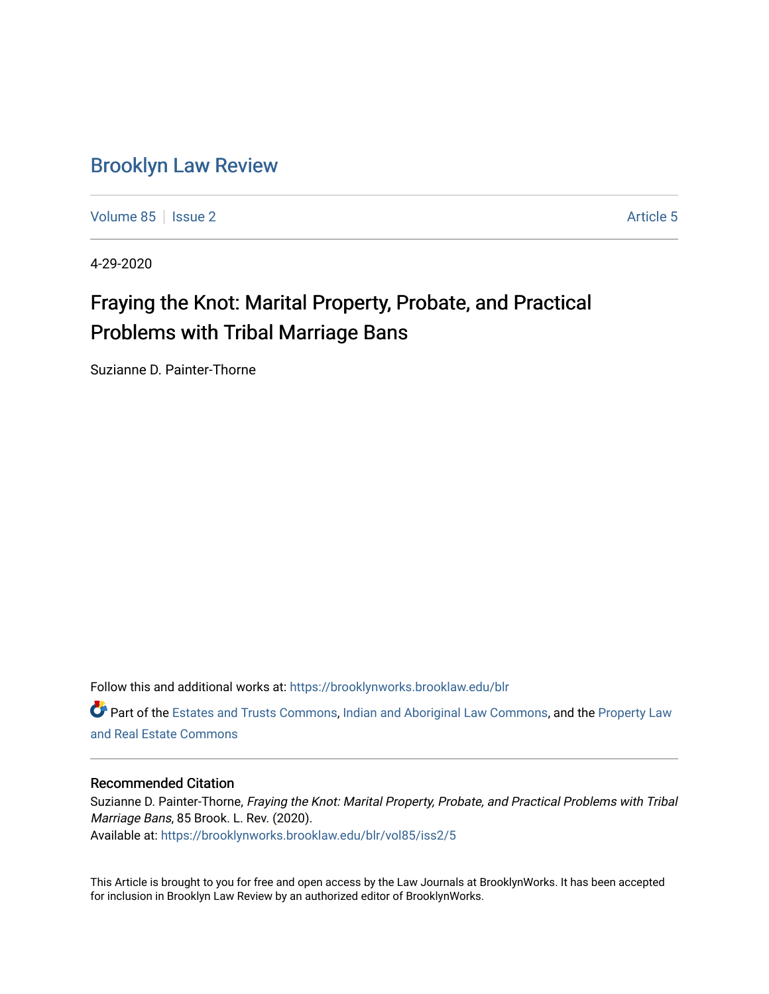### [Brooklyn Law Review](https://brooklynworks.brooklaw.edu/blr)

[Volume 85](https://brooklynworks.brooklaw.edu/blr/vol85) | [Issue 2](https://brooklynworks.brooklaw.edu/blr/vol85/iss2) Article 5

4-29-2020

# Fraying the Knot: Marital Property, Probate, and Practical Problems with Tribal Marriage Bans

Suzianne D. Painter-Thorne

Follow this and additional works at: [https://brooklynworks.brooklaw.edu/blr](https://brooklynworks.brooklaw.edu/blr?utm_source=brooklynworks.brooklaw.edu%2Fblr%2Fvol85%2Fiss2%2F5&utm_medium=PDF&utm_campaign=PDFCoverPages) 

Part of the [Estates and Trusts Commons,](http://network.bepress.com/hgg/discipline/906?utm_source=brooklynworks.brooklaw.edu%2Fblr%2Fvol85%2Fiss2%2F5&utm_medium=PDF&utm_campaign=PDFCoverPages) [Indian and Aboriginal Law Commons](http://network.bepress.com/hgg/discipline/894?utm_source=brooklynworks.brooklaw.edu%2Fblr%2Fvol85%2Fiss2%2F5&utm_medium=PDF&utm_campaign=PDFCoverPages), and the [Property Law](http://network.bepress.com/hgg/discipline/897?utm_source=brooklynworks.brooklaw.edu%2Fblr%2Fvol85%2Fiss2%2F5&utm_medium=PDF&utm_campaign=PDFCoverPages) [and Real Estate Commons](http://network.bepress.com/hgg/discipline/897?utm_source=brooklynworks.brooklaw.edu%2Fblr%2Fvol85%2Fiss2%2F5&utm_medium=PDF&utm_campaign=PDFCoverPages) 

#### Recommended Citation

Suzianne D. Painter-Thorne, Fraying the Knot: Marital Property, Probate, and Practical Problems with Tribal Marriage Bans, 85 Brook. L. Rev. (2020). Available at: [https://brooklynworks.brooklaw.edu/blr/vol85/iss2/5](https://brooklynworks.brooklaw.edu/blr/vol85/iss2/5?utm_source=brooklynworks.brooklaw.edu%2Fblr%2Fvol85%2Fiss2%2F5&utm_medium=PDF&utm_campaign=PDFCoverPages)

This Article is brought to you for free and open access by the Law Journals at BrooklynWorks. It has been accepted for inclusion in Brooklyn Law Review by an authorized editor of BrooklynWorks.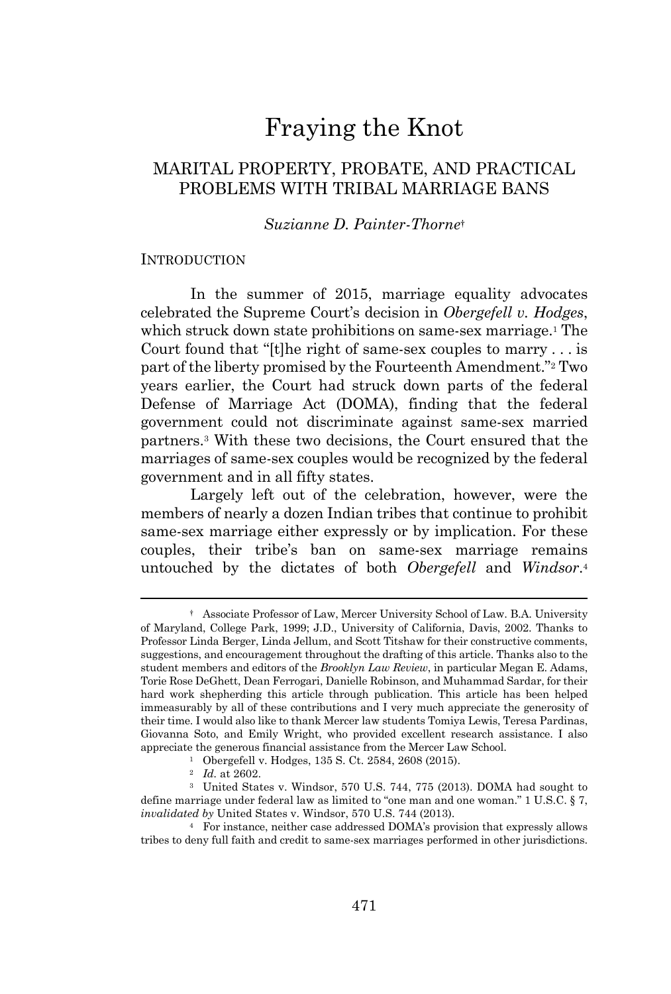## Fraying the Knot

### MARITAL PROPERTY, PROBATE, AND PRACTICAL PROBLEMS WITH TRIBAL MARRIAGE BANS

#### *Suzianne D. Painter-Thorne*†

#### **INTRODUCTION**

In the summer of 2015, marriage equality advocates celebrated the Supreme Court's decision in *Obergefell v. Hodges*, which struck down state prohibitions on same-sex marriage.<sup>1</sup> The Court found that "[t]he right of same-sex couples to marry . . . is part of the liberty promised by the Fourteenth Amendment."<sup>2</sup> Two years earlier, the Court had struck down parts of the federal Defense of Marriage Act (DOMA), finding that the federal government could not discriminate against same-sex married partners. <sup>3</sup> With these two decisions, the Court ensured that the marriages of same-sex couples would be recognized by the federal government and in all fifty states.

Largely left out of the celebration, however, were the members of nearly a dozen Indian tribes that continue to prohibit same-sex marriage either expressly or by implication. For these couples, their tribe's ban on same-sex marriage remains untouched by the dictates of both *Obergefell* and *Windsor*. 4

<sup>†</sup> Associate Professor of Law, Mercer University School of Law. B.A. University of Maryland, College Park, 1999; J.D., University of California, Davis, 2002. Thanks to Professor Linda Berger, Linda Jellum, and Scott Titshaw for their constructive comments, suggestions, and encouragement throughout the drafting of this article. Thanks also to the student members and editors of the *Brooklyn Law Review*, in particular Megan E. Adams, Torie Rose DeGhett, Dean Ferrogari, Danielle Robinson, and Muhammad Sardar, for their hard work shepherding this article through publication. This article has been helped immeasurably by all of these contributions and I very much appreciate the generosity of their time. I would also like to thank Mercer law students Tomiya Lewis, Teresa Pardinas, Giovanna Soto, and Emily Wright, who provided excellent research assistance. I also appreciate the generous financial assistance from the Mercer Law School.

<sup>1</sup> Obergefell v. Hodges, 135 S. Ct. 2584, 2608 (2015).

<sup>2</sup> *Id.* at 2602.

<sup>3</sup> United States v. Windsor, 570 U.S. 744, 775 (2013). DOMA had sought to define marriage under federal law as limited to "one man and one woman." 1 U.S.C. § 7, *invalidated by* United States v. Windsor, 570 U.S. 744 (2013).

<sup>4</sup> For instance, neither case addressed DOMA's provision that expressly allows tribes to deny full faith and credit to same-sex marriages performed in other jurisdictions.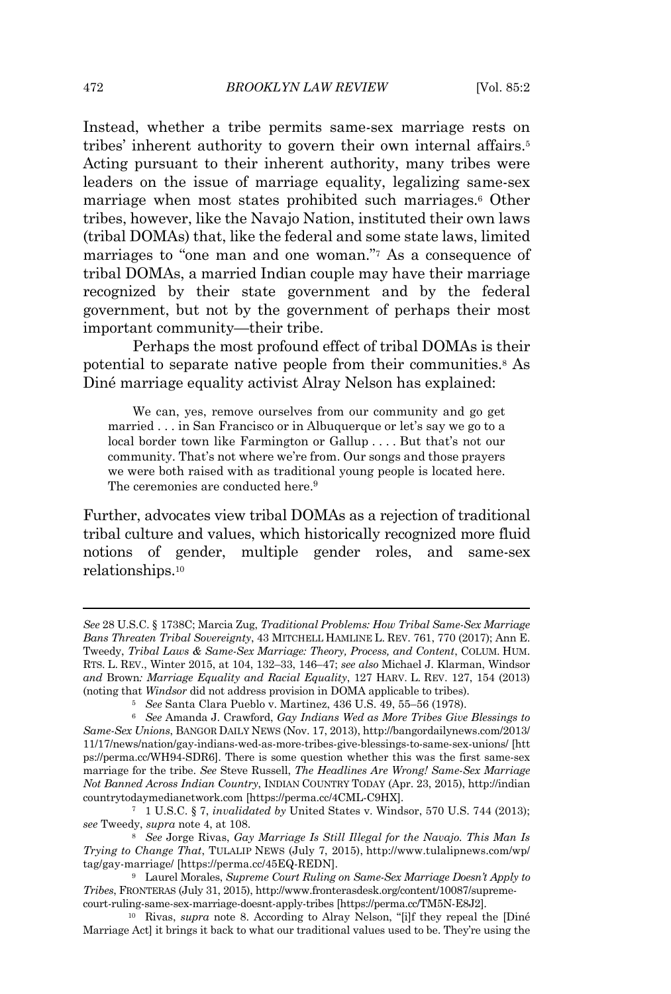Instead, whether a tribe permits same-sex marriage rests on tribes' inherent authority to govern their own internal affairs.<sup>5</sup> Acting pursuant to their inherent authority, many tribes were leaders on the issue of marriage equality, legalizing same-sex marriage when most states prohibited such marriages.<sup>6</sup> Other tribes, however, like the Navajo Nation, instituted their own laws (tribal DOMAs) that, like the federal and some state laws, limited marriages to "one man and one woman." <sup>7</sup> As a consequence of tribal DOMAs, a married Indian couple may have their marriage recognized by their state government and by the federal government, but not by the government of perhaps their most important community—their tribe.

Perhaps the most profound effect of tribal DOMAs is their potential to separate native people from their communities.<sup>8</sup> As Diné marriage equality activist Alray Nelson has explained:

We can, yes, remove ourselves from our community and go get married . . . in San Francisco or in Albuquerque or let's say we go to a local border town like Farmington or Gallup . . . . But that's not our community. That's not where we're from. Our songs and those prayers we were both raised with as traditional young people is located here. The ceremonies are conducted here.<sup>9</sup>

Further, advocates view tribal DOMAs as a rejection of traditional tribal culture and values, which historically recognized more fluid notions of gender, multiple gender roles, and same-sex relationships.<sup>10</sup>

*See* 28 U.S.C. § 1738C; Marcia Zug, *Traditional Problems: How Tribal Same-Sex Marriage Bans Threaten Tribal Sovereignty*, 43 MITCHELL HAMLINE L. REV. 761, 770 (2017); Ann E. Tweedy, *Tribal Laws & Same-Sex Marriage: Theory, Process, and Content*, COLUM. HUM. RTS. L. REV., Winter 2015, at 104, 132–33, 146–47; *see also* Michael J. Klarman, Windsor *and* Brown*: Marriage Equality and Racial Equality*, 127 HARV. L. REV. 127, 154 (2013) (noting that *Windsor* did not address provision in DOMA applicable to tribes).

<sup>5</sup> *See* Santa Clara Pueblo v. Martinez, 436 U.S. 49, 55–56 (1978).

<sup>6</sup> *See* Amanda J. Crawford, *Gay Indians Wed as More Tribes Give Blessings to Same-Sex Unions*, BANGOR DAILY NEWS (Nov. 17, 2013), http://bangordailynews.com/2013/ 11/17/news/nation/gay-indians-wed-as-more-tribes-give-blessings-to-same-sex-unions/ [htt ps://perma.cc/WH94-SDR6]. There is some question whether this was the first same-sex marriage for the tribe. *See* Steve Russell, *The Headlines Are Wrong! Same-Sex Marriage Not Banned Across Indian Country*, INDIAN COUNTRY TODAY (Apr. 23, 2015), http://indian countrytodaymedianetwork.com [https://perma.cc/4CML-C9HX].

<sup>7</sup> 1 U.S.C. § 7, *invalidated by* United States v. Windsor, 570 U.S. 744 (2013); *see* Tweedy, *supra* note 4, at 108.

<sup>8</sup> *See* Jorge Rivas, *Gay Marriage Is Still Illegal for the Navajo. This Man Is Trying to Change That*, TULALIP NEWS (July 7, 2015), http://www.tulalipnews.com/wp/ tag/gay-marriage/ [https://perma.cc/45EQ-REDN].

<sup>9</sup> Laurel Morales, *Supreme Court Ruling on Same-Sex Marriage Doesn't Apply to Tribes*, FRONTERAS (July 31, 2015), http://www.fronterasdesk.org/content/10087/supremecourt-ruling-same-sex-marriage-doesnt-apply-tribes [https://perma.cc/TM5N-E8J2].

<sup>10</sup> Rivas, *supra* note 8. According to Alray Nelson, "[i]f they repeal the [Diné Marriage Act] it brings it back to what our traditional values used to be. They're using the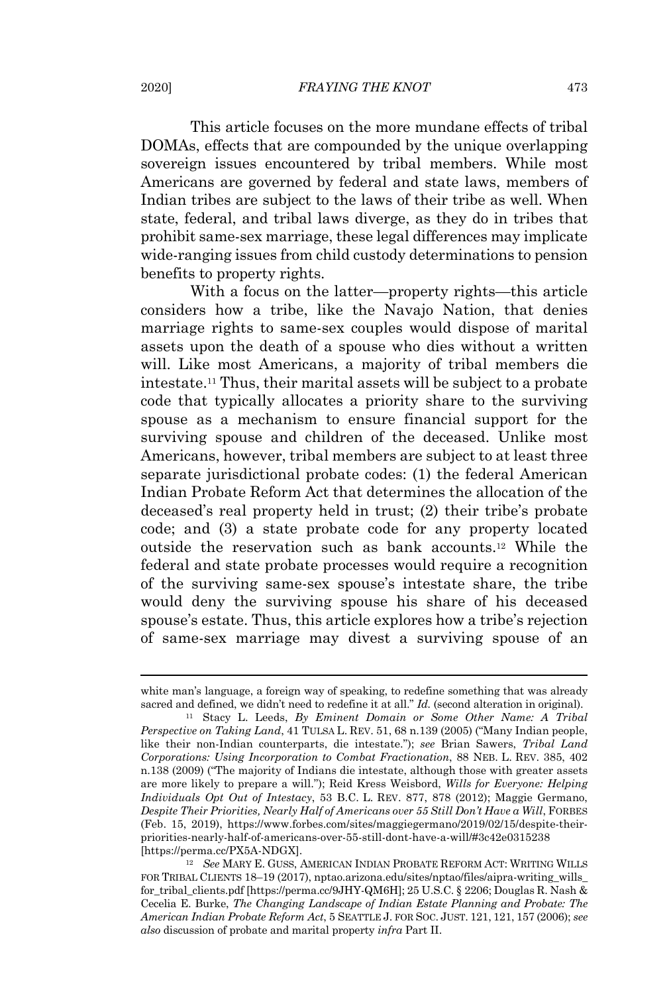This article focuses on the more mundane effects of tribal DOMAs, effects that are compounded by the unique overlapping sovereign issues encountered by tribal members. While most Americans are governed by federal and state laws, members of Indian tribes are subject to the laws of their tribe as well. When state, federal, and tribal laws diverge, as they do in tribes that prohibit same-sex marriage, these legal differences may implicate wide-ranging issues from child custody determinations to pension benefits to property rights.

With a focus on the latter—property rights—this article considers how a tribe, like the Navajo Nation, that denies marriage rights to same-sex couples would dispose of marital assets upon the death of a spouse who dies without a written will. Like most Americans, a majority of tribal members die intestate.<sup>11</sup> Thus, their marital assets will be subject to a probate code that typically allocates a priority share to the surviving spouse as a mechanism to ensure financial support for the surviving spouse and children of the deceased. Unlike most Americans, however, tribal members are subject to at least three separate jurisdictional probate codes: (1) the federal American Indian Probate Reform Act that determines the allocation of the deceased's real property held in trust; (2) their tribe's probate code; and (3) a state probate code for any property located outside the reservation such as bank accounts.<sup>12</sup> While the federal and state probate processes would require a recognition of the surviving same-sex spouse's intestate share, the tribe would deny the surviving spouse his share of his deceased spouse's estate. Thus, this article explores how a tribe's rejection of same-sex marriage may divest a surviving spouse of an

white man's language, a foreign way of speaking, to redefine something that was already sacred and defined, we didn't need to redefine it at all." *Id.* (second alteration in original).

<sup>11</sup> Stacy L. Leeds, *By Eminent Domain or Some Other Name: A Tribal Perspective on Taking Land*, 41 TULSA L. REV. 51, 68 n.139 (2005) ("Many Indian people, like their non-Indian counterparts, die intestate."); *see* Brian Sawers, *Tribal Land Corporations: Using Incorporation to Combat Fractionation*, 88 NEB. L. REV. 385, 402 n.138 (2009) ("The majority of Indians die intestate, although those with greater assets are more likely to prepare a will."); Reid Kress Weisbord, *Wills for Everyone: Helping Individuals Opt Out of Intestacy*, 53 B.C. L. REV. 877, 878 (2012); Maggie Germano, *Despite Their Priorities, Nearly Half of Americans over 55 Still Don't Have a Will*, FORBES (Feb. 15, 2019), https://www.forbes.com/sites/maggiegermano/2019/02/15/despite-theirpriorities-nearly-half-of-americans-over-55-still-dont-have-a-will/#3c42e0315238 [https://perma.cc/PX5A-NDGX].

<sup>12</sup> *See* MARY E. GUSS, AMERICAN INDIAN PROBATE REFORM ACT: WRITING WILLS FOR TRIBAL CLIENTS 18–19 (2017), nptao.arizona.edu/sites/nptao/files/aipra-writing\_wills\_ for\_tribal\_clients.pdf [https://perma.cc/9JHY-QM6H]; 25 U.S.C. § 2206; Douglas R. Nash & Cecelia E. Burke, *The Changing Landscape of Indian Estate Planning and Probate: The American Indian Probate Reform Act*, 5 SEATTLE J. FOR SOC. JUST. 121, 121, 157 (2006); *see also* discussion of probate and marital property *infra* Part II.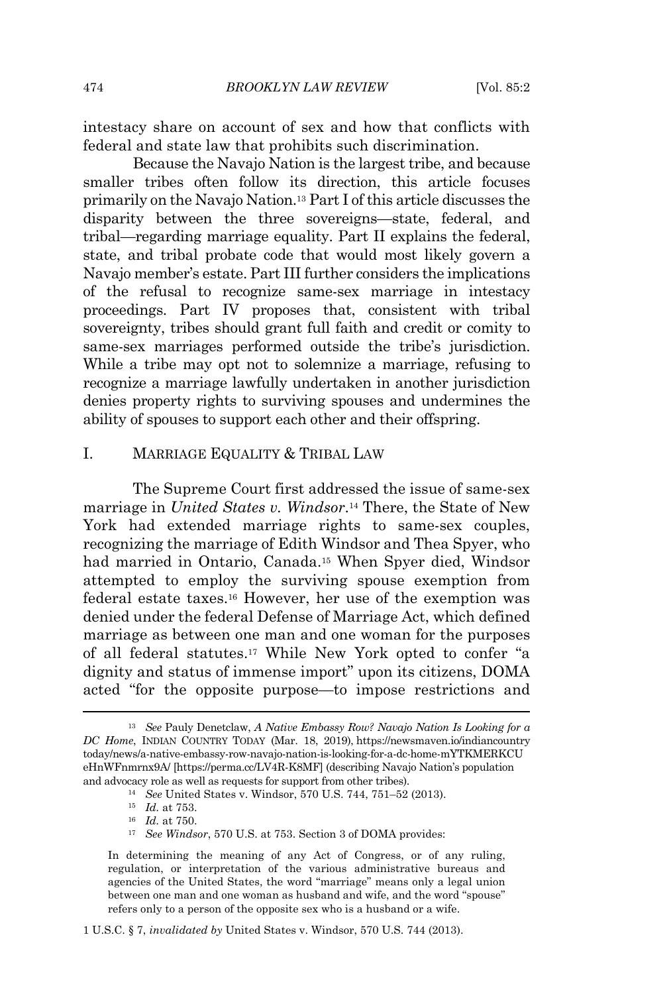intestacy share on account of sex and how that conflicts with federal and state law that prohibits such discrimination.

Because the Navajo Nation is the largest tribe, and because smaller tribes often follow its direction, this article focuses primarily on the Navajo Nation.<sup>13</sup> Part I of this article discusses the disparity between the three sovereigns—state, federal, and tribal—regarding marriage equality. Part II explains the federal, state, and tribal probate code that would most likely govern a Navajo member's estate. Part III further considers the implications of the refusal to recognize same-sex marriage in intestacy proceedings. Part IV proposes that, consistent with tribal sovereignty, tribes should grant full faith and credit or comity to same-sex marriages performed outside the tribe's jurisdiction. While a tribe may opt not to solemnize a marriage, refusing to recognize a marriage lawfully undertaken in another jurisdiction denies property rights to surviving spouses and undermines the ability of spouses to support each other and their offspring.

#### I. MARRIAGE EQUALITY & TRIBAL LAW

The Supreme Court first addressed the issue of same-sex marriage in *United States v. Windsor*. <sup>14</sup> There, the State of New York had extended marriage rights to same-sex couples, recognizing the marriage of Edith Windsor and Thea Spyer, who had married in Ontario, Canada.<sup>15</sup> When Spyer died, Windsor attempted to employ the surviving spouse exemption from federal estate taxes.<sup>16</sup> However, her use of the exemption was denied under the federal Defense of Marriage Act, which defined marriage as between one man and one woman for the purposes of all federal statutes.<sup>17</sup> While New York opted to confer "a dignity and status of immense import" upon its citizens, DOMA acted "for the opposite purpose—to impose restrictions and

<sup>13</sup> *See* Pauly Denetclaw, *A Native Embassy Row? Navajo Nation Is Looking for a DC Home*, INDIAN COUNTRY TODAY (Mar. 18, 2019), https://newsmaven.io/indiancountry today/news/a-native-embassy-row-navajo-nation-is-looking-for-a-dc-home-mYTKMERKCU eHnWFnmrnx9A/ [https://perma.cc/LV4R-K8MF] (describing Navajo Nation's population and advocacy role as well as requests for support from other tribes).

<sup>14</sup> *See* United States v. Windsor, 570 U.S. 744, 751–52 (2013).

<sup>15</sup> *Id.* at 753.

<sup>16</sup> *Id.* at 750.

<sup>17</sup> *See Windsor*, 570 U.S. at 753. Section 3 of DOMA provides:

In determining the meaning of any Act of Congress, or of any ruling, regulation, or interpretation of the various administrative bureaus and agencies of the United States, the word "marriage" means only a legal union between one man and one woman as husband and wife, and the word "spouse" refers only to a person of the opposite sex who is a husband or a wife.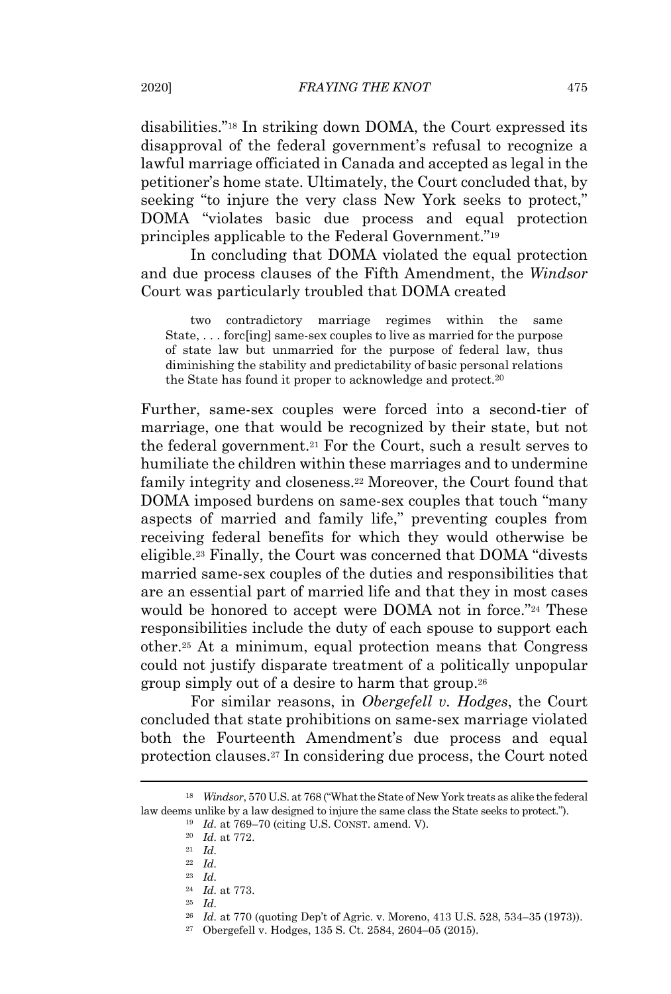disabilities." <sup>18</sup> In striking down DOMA, the Court expressed its disapproval of the federal government's refusal to recognize a lawful marriage officiated in Canada and accepted as legal in the petitioner's home state. Ultimately, the Court concluded that, by seeking "to injure the very class New York seeks to protect," DOMA "violates basic due process and equal protection principles applicable to the Federal Government."<sup>19</sup>

In concluding that DOMA violated the equal protection and due process clauses of the Fifth Amendment, the *Windsor* Court was particularly troubled that DOMA created

two contradictory marriage regimes within the same State, . . . forc[ing] same-sex couples to live as married for the purpose of state law but unmarried for the purpose of federal law, thus diminishing the stability and predictability of basic personal relations the State has found it proper to acknowledge and protect.<sup>20</sup>

Further, same-sex couples were forced into a second-tier of marriage, one that would be recognized by their state, but not the federal government. <sup>21</sup> For the Court, such a result serves to humiliate the children within these marriages and to undermine family integrity and closeness.<sup>22</sup> Moreover, the Court found that DOMA imposed burdens on same-sex couples that touch "many aspects of married and family life," preventing couples from receiving federal benefits for which they would otherwise be eligible.<sup>23</sup> Finally, the Court was concerned that DOMA "divests married same-sex couples of the duties and responsibilities that are an essential part of married life and that they in most cases would be honored to accept were DOMA not in force." <sup>24</sup> These responsibilities include the duty of each spouse to support each other.<sup>25</sup> At a minimum, equal protection means that Congress could not justify disparate treatment of a politically unpopular group simply out of a desire to harm that group.<sup>26</sup>

For similar reasons, in *Obergefell v. Hodges*, the Court concluded that state prohibitions on same-sex marriage violated both the Fourteenth Amendment's due process and equal protection clauses.<sup>27</sup> In considering due process, the Court noted

<sup>&</sup>lt;sup>18</sup> *Windsor*, 570 U.S. at 768 ("What the State of New York treats as alike the federal law deems unlike by a law designed to injure the same class the State seeks to protect.").

<sup>19</sup> *Id.* at 769–70 (citing U.S. CONST. amend. V).

<sup>20</sup> *Id.* at 772.

<sup>21</sup> *Id.*

<sup>22</sup> *Id.*

<sup>23</sup> *Id.*

<sup>24</sup> *Id.* at 773.

<sup>25</sup> *Id.*

<sup>26</sup> *Id.* at 770 (quoting Dep't of Agric. v. Moreno, 413 U.S. 528, 534–35 (1973)).

<sup>27</sup> Obergefell v. Hodges, 135 S. Ct. 2584, 2604–05 (2015).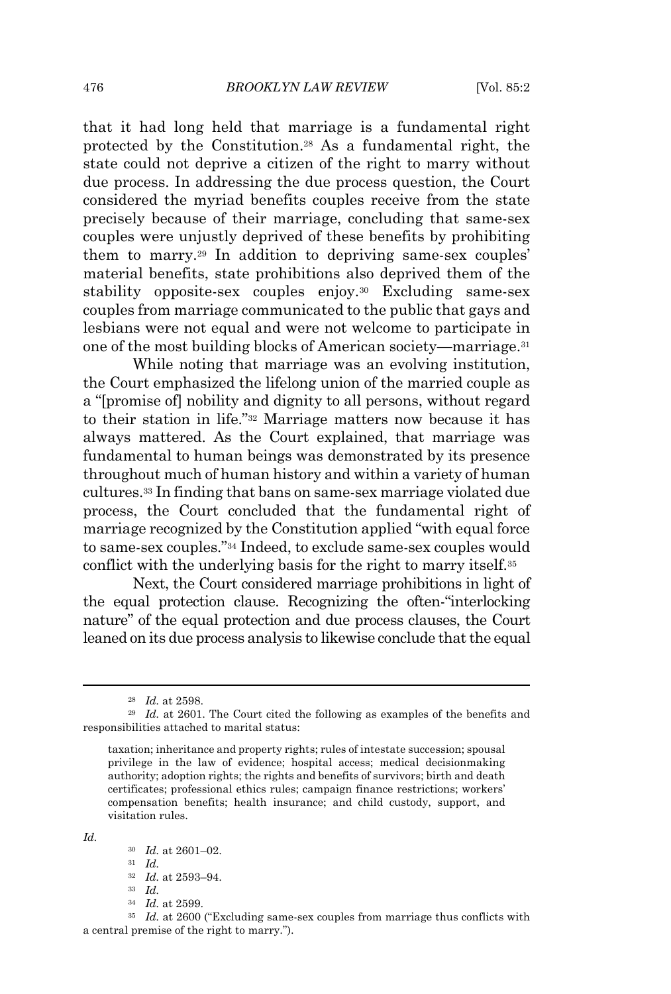that it had long held that marriage is a fundamental right protected by the Constitution.<sup>28</sup> As a fundamental right, the state could not deprive a citizen of the right to marry without due process. In addressing the due process question, the Court considered the myriad benefits couples receive from the state precisely because of their marriage, concluding that same-sex couples were unjustly deprived of these benefits by prohibiting them to marry.<sup>29</sup> In addition to depriving same-sex couples' material benefits, state prohibitions also deprived them of the stability opposite-sex couples enjoy. <sup>30</sup> Excluding same-sex couples from marriage communicated to the public that gays and lesbians were not equal and were not welcome to participate in one of the most building blocks of American society—marriage.<sup>31</sup>

While noting that marriage was an evolving institution, the Court emphasized the lifelong union of the married couple as a "[promise of] nobility and dignity to all persons, without regard to their station in life."<sup>32</sup> Marriage matters now because it has always mattered. As the Court explained, that marriage was fundamental to human beings was demonstrated by its presence throughout much of human history and within a variety of human cultures.<sup>33</sup> In finding that bans on same-sex marriage violated due process, the Court concluded that the fundamental right of marriage recognized by the Constitution applied "with equal force to same-sex couples." <sup>34</sup> Indeed, to exclude same-sex couples would conflict with the underlying basis for the right to marry itself.<sup>35</sup>

Next, the Court considered marriage prohibitions in light of the equal protection clause. Recognizing the often-"interlocking nature" of the equal protection and due process clauses, the Court leaned on its due process analysis to likewise conclude that the equal

*Id.*

- <sup>30</sup> *Id.* at 2601–02.
- <sup>31</sup> *Id.*
- <sup>32</sup> *Id.* at 2593–94.
- <sup>33</sup> *Id.*
- <sup>34</sup> *Id.* at 2599.

<sup>35</sup> *Id.* at 2600 ("Excluding same-sex couples from marriage thus conflicts with a central premise of the right to marry.").

<sup>28</sup> *Id.* at 2598.

<sup>29</sup> *Id.* at 2601. The Court cited the following as examples of the benefits and responsibilities attached to marital status:

taxation; inheritance and property rights; rules of intestate succession; spousal privilege in the law of evidence; hospital access; medical decisionmaking authority; adoption rights; the rights and benefits of survivors; birth and death certificates; professional ethics rules; campaign finance restrictions; workers' compensation benefits; health insurance; and child custody, support, and visitation rules.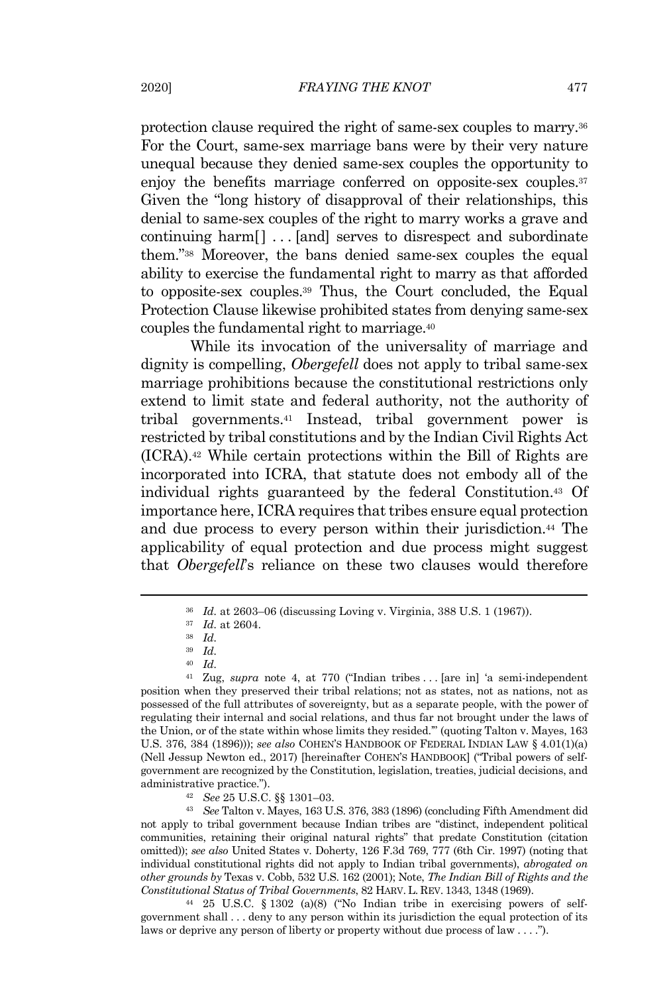protection clause required the right of same-sex couples to marry. 36 For the Court, same-sex marriage bans were by their very nature unequal because they denied same-sex couples the opportunity to enjoy the benefits marriage conferred on opposite-sex couples.<sup>37</sup> Given the "long history of disapproval of their relationships, this denial to same-sex couples of the right to marry works a grave and continuing harm[] . . . [and] serves to disrespect and subordinate them."<sup>38</sup> Moreover, the bans denied same-sex couples the equal ability to exercise the fundamental right to marry as that afforded to opposite-sex couples.<sup>39</sup> Thus, the Court concluded, the Equal Protection Clause likewise prohibited states from denying same-sex couples the fundamental right to marriage.<sup>40</sup>

While its invocation of the universality of marriage and dignity is compelling, *Obergefell* does not apply to tribal same-sex marriage prohibitions because the constitutional restrictions only extend to limit state and federal authority, not the authority of tribal governments.<sup>41</sup> Instead, tribal government power is restricted by tribal constitutions and by the Indian Civil Rights Act (ICRA).<sup>42</sup> While certain protections within the Bill of Rights are incorporated into ICRA, that statute does not embody all of the individual rights guaranteed by the federal Constitution.<sup>43</sup> Of importance here, ICRA requires that tribes ensure equal protection and due process to every person within their jurisdiction.<sup>44</sup> The applicability of equal protection and due process might suggest that *Obergefell*'s reliance on these two clauses would therefore

 $41$  Zug, *supra* note 4, at 770 ("Indian tribes ... [are in] 'a semi-independent position when they preserved their tribal relations; not as states, not as nations, not as possessed of the full attributes of sovereignty, but as a separate people, with the power of regulating their internal and social relations, and thus far not brought under the laws of the Union, or of the state within whose limits they resided.'" (quoting Talton v. Mayes, 163 U.S. 376, 384 (1896))); *see also* COHEN'S HANDBOOK OF FEDERAL INDIAN LAW § 4.01(1)(a) (Nell Jessup Newton ed., 2017) [hereinafter COHEN'S HANDBOOK] ("Tribal powers of selfgovernment are recognized by the Constitution, legislation, treaties, judicial decisions, and administrative practice.").

<sup>42</sup> *See* 25 U.S.C. §§ 1301–03.

<sup>43</sup> *See* Talton v. Mayes, 163 U.S. 376, 383 (1896) (concluding Fifth Amendment did not apply to tribal government because Indian tribes are "distinct, independent political communities, retaining their original natural rights" that predate Constitution (citation omitted)); *see also* United States v. Doherty, 126 F.3d 769, 777 (6th Cir. 1997) (noting that individual constitutional rights did not apply to Indian tribal governments), *abrogated on other grounds by* Texas v. Cobb, 532 U.S. 162 (2001); Note, *The Indian Bill of Rights and the Constitutional Status of Tribal Governments*, 82 HARV. L. REV. 1343, 1348 (1969).

<sup>44</sup> 25 U.S.C. § 1302 (a)(8) ("No Indian tribe in exercising powers of selfgovernment shall . . . deny to any person within its jurisdiction the equal protection of its laws or deprive any person of liberty or property without due process of law . . . .").

<sup>36</sup> *Id.* at 2603–06 (discussing Loving v. Virginia, 388 U.S. 1 (1967)).

<sup>37</sup> *Id.* at 2604.

<sup>38</sup> *Id.*

<sup>39</sup> *Id.*

<sup>40</sup> *Id.*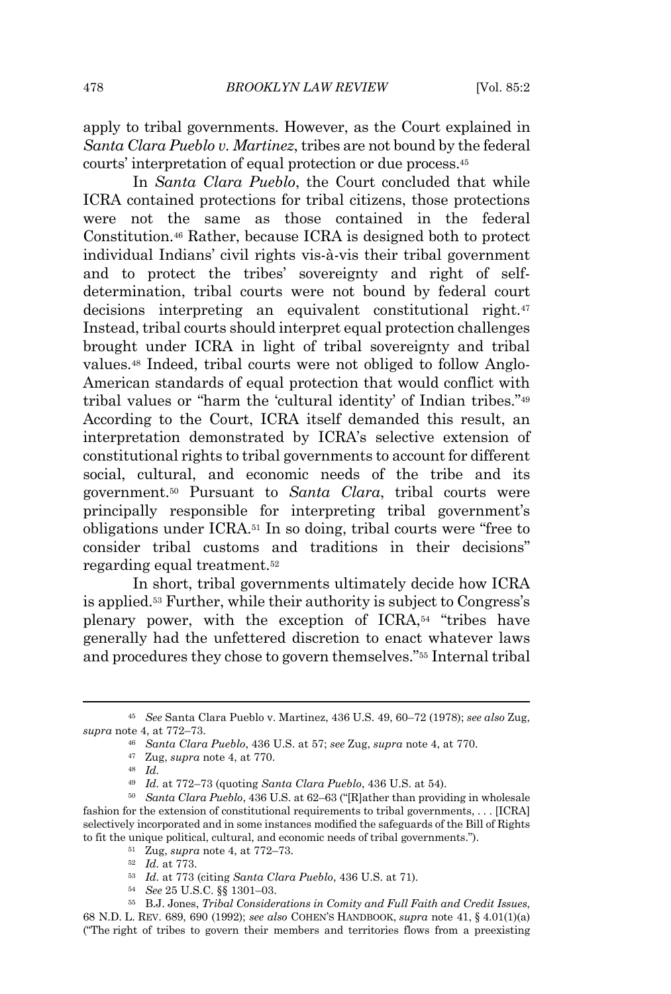apply to tribal governments. However, as the Court explained in *Santa Clara Pueblo v. Martinez*, tribes are not bound by the federal courts' interpretation of equal protection or due process. 45

In *Santa Clara Pueblo*, the Court concluded that while ICRA contained protections for tribal citizens, those protections were not the same as those contained in the federal Constitution.<sup>46</sup> Rather, because ICRA is designed both to protect individual Indians' civil rights vis-à-vis their tribal government and to protect the tribes' sovereignty and right of selfdetermination, tribal courts were not bound by federal court decisions interpreting an equivalent constitutional right.<sup>47</sup> Instead, tribal courts should interpret equal protection challenges brought under ICRA in light of tribal sovereignty and tribal values.<sup>48</sup> Indeed, tribal courts were not obliged to follow Anglo-American standards of equal protection that would conflict with tribal values or "harm the 'cultural identity' of Indian tribes."<sup>49</sup> According to the Court, ICRA itself demanded this result, an interpretation demonstrated by ICRA's selective extension of constitutional rights to tribal governments to account for different social, cultural, and economic needs of the tribe and its government.<sup>50</sup> Pursuant to *Santa Clara*, tribal courts were principally responsible for interpreting tribal government's obligations under ICRA.<sup>51</sup> In so doing, tribal courts were "free to consider tribal customs and traditions in their decisions" regarding equal treatment.<sup>52</sup>

In short, tribal governments ultimately decide how ICRA is applied.<sup>53</sup> Further, while their authority is subject to Congress's plenary power, with the exception of ICRA,<sup>54</sup> "tribes have generally had the unfettered discretion to enact whatever laws and procedures they chose to govern themselves."<sup>55</sup> Internal tribal

<sup>45</sup> *See* Santa Clara Pueblo v. Martinez, 436 U.S. 49, 60–72 (1978); *see also* Zug, *supra* note 4, at 772–73.

<sup>46</sup> *Santa Clara Pueblo*, 436 U.S. at 57; *see* Zug, *supra* note 4, at 770.

<sup>47</sup> Zug, *supra* note 4, at 770.

<sup>48</sup> *Id.*

<sup>49</sup> *Id.* at 772–73 (quoting *Santa Clara Pueblo*, 436 U.S. at 54).

<sup>50</sup> *Santa Clara Pueblo*, 436 U.S. at 62–63 ("[R]ather than providing in wholesale fashion for the extension of constitutional requirements to tribal governments, . . . [ICRA] selectively incorporated and in some instances modified the safeguards of the Bill of Rights to fit the unique political, cultural, and economic needs of tribal governments.").

<sup>51</sup> Zug, *supra* note 4, at 772–73.

<sup>52</sup> *Id.* at 773.

<sup>53</sup> *Id.* at 773 (citing *Santa Clara Pueblo*, 436 U.S. at 71)*.*

<sup>54</sup> *See* 25 U.S.C. §§ 1301–03.

<sup>55</sup> B.J. Jones, *Tribal Considerations in Comity and Full Faith and Credit Issues*,

<sup>68</sup> N.D. L. REV. 689, 690 (1992); *see also* COHEN'S HANDBOOK, *supra* note 41, § 4.01(1)(a) ("The right of tribes to govern their members and territories flows from a preexisting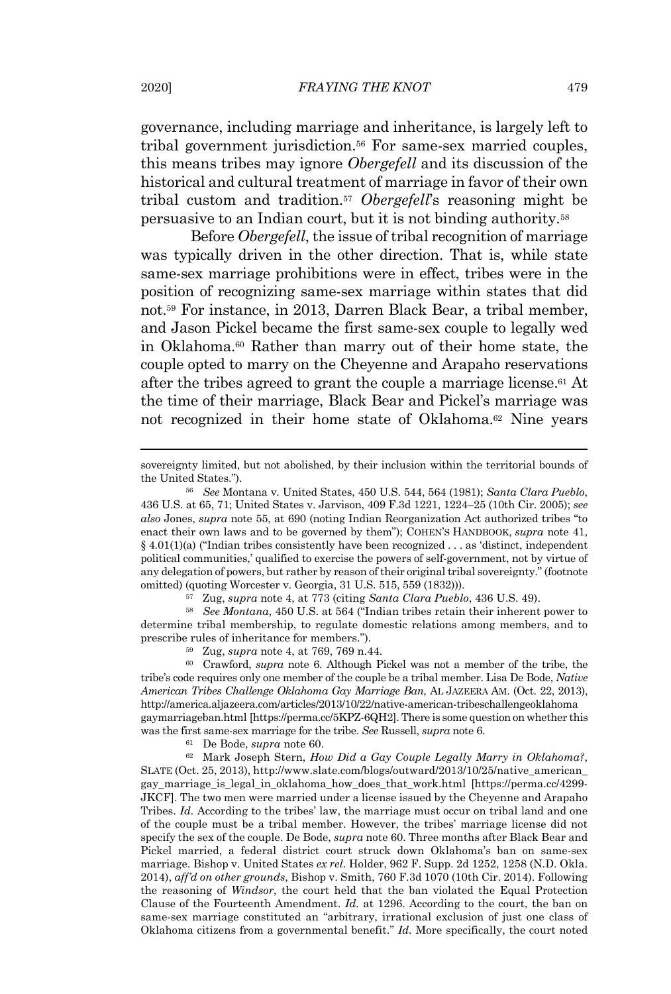governance, including marriage and inheritance, is largely left to tribal government jurisdiction. <sup>56</sup> For same-sex married couples, this means tribes may ignore *Obergefell* and its discussion of the historical and cultural treatment of marriage in favor of their own tribal custom and tradition.<sup>57</sup> *Obergefell*'s reasoning might be persuasive to an Indian court, but it is not binding authority.<sup>58</sup>

Before *Obergefell*, the issue of tribal recognition of marriage was typically driven in the other direction. That is, while state same-sex marriage prohibitions were in effect, tribes were in the position of recognizing same-sex marriage within states that did not. <sup>59</sup> For instance, in 2013, Darren Black Bear, a tribal member, and Jason Pickel became the first same-sex couple to legally wed in Oklahoma.<sup>60</sup> Rather than marry out of their home state, the couple opted to marry on the Cheyenne and Arapaho reservations after the tribes agreed to grant the couple a marriage license.<sup>61</sup> At the time of their marriage, Black Bear and Pickel's marriage was not recognized in their home state of Oklahoma. <sup>62</sup> Nine years

<sup>57</sup> Zug, *supra* note 4, at 773 (citing *Santa Clara Pueblo*, 436 U.S. 49).

<sup>58</sup> *See Montana*, 450 U.S. at 564 ("Indian tribes retain their inherent power to determine tribal membership, to regulate domestic relations among members, and to prescribe rules of inheritance for members.").

<sup>59</sup> Zug, *supra* note 4, at 769, 769 n.44.

<sup>60</sup> Crawford, *supra* note 6. Although Pickel was not a member of the tribe, the tribe's code requires only one member of the couple be a tribal member. Lisa De Bode, *Native American Tribes Challenge Oklahoma Gay Marriage Ban*, AL JAZEERA AM. (Oct. 22, 2013), http://america.aljazeera.com/articles/2013/10/22/native-american-tribeschallengeoklahoma gaymarriageban.html [https://perma.cc/5KPZ-6QH2]. There is some question on whether this was the first same-sex marriage for the tribe. *See* Russell, *supra* note 6.

<sup>61</sup> De Bode, *supra* note 60.

<sup>62</sup> Mark Joseph Stern, *How Did a Gay Couple Legally Marry in Oklahoma?*, SLATE (Oct. 25, 2013), http://www.slate.com/blogs/outward/2013/10/25/native\_american\_ gay\_marriage\_is\_legal\_in\_oklahoma\_how\_does\_that\_work.html [https://perma.cc/4299- JKCF]. The two men were married under a license issued by the Cheyenne and Arapaho Tribes. *Id.* According to the tribes' law, the marriage must occur on tribal land and one of the couple must be a tribal member. However, the tribes' marriage license did not specify the sex of the couple. De Bode, *supra* note 60. Three months after Black Bear and Pickel married, a federal district court struck down Oklahoma's ban on same-sex marriage. Bishop v. United States *ex rel.* Holder, 962 F. Supp. 2d 1252, 1258 (N.D. Okla. 2014), *aff'd on other grounds*, Bishop v. Smith, 760 F.3d 1070 (10th Cir. 2014). Following the reasoning of *Windsor*, the court held that the ban violated the Equal Protection Clause of the Fourteenth Amendment. *Id.* at 1296. According to the court, the ban on same-sex marriage constituted an "arbitrary, irrational exclusion of just one class of Oklahoma citizens from a governmental benefit." *Id.* More specifically, the court noted

sovereignty limited, but not abolished, by their inclusion within the territorial bounds of the United States.").

<sup>56</sup> *See* Montana v. United States, 450 U.S. 544, 564 (1981); *Santa Clara Pueblo*, 436 U.S. at 65, 71; United States v. Jarvison, 409 F.3d 1221, 1224–25 (10th Cir. 2005); *see also* Jones, *supra* note 55, at 690 (noting Indian Reorganization Act authorized tribes "to enact their own laws and to be governed by them"); COHEN'S HANDBOOK, *supra* note 41,  $§$  4.01(1)(a) ("Indian tribes consistently have been recognized . . . as 'distinct, independent political communities,' qualified to exercise the powers of self-government, not by virtue of any delegation of powers, but rather by reason of their original tribal sovereignty." (footnote omitted) (quoting Worcester v. Georgia, 31 U.S. 515, 559 (1832))).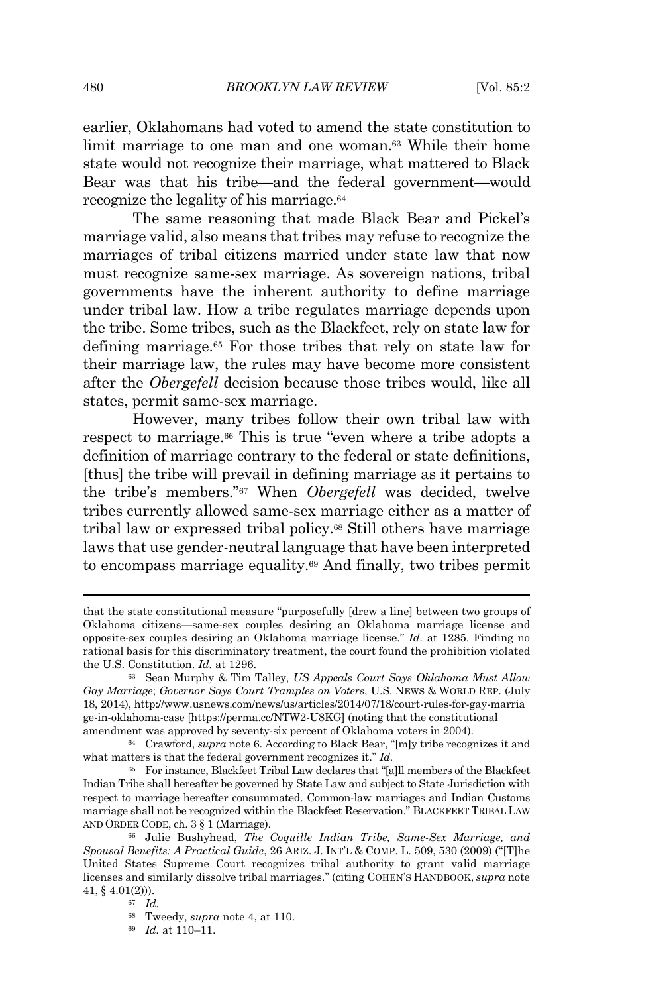earlier, Oklahomans had voted to amend the state constitution to limit marriage to one man and one woman.<sup>63</sup> While their home state would not recognize their marriage, what mattered to Black Bear was that his tribe—and the federal government—would recognize the legality of his marriage.<sup>64</sup>

The same reasoning that made Black Bear and Pickel's marriage valid, also means that tribes may refuse to recognize the marriages of tribal citizens married under state law that now must recognize same-sex marriage. As sovereign nations, tribal governments have the inherent authority to define marriage under tribal law. How a tribe regulates marriage depends upon the tribe. Some tribes, such as the Blackfeet, rely on state law for defining marriage.<sup>65</sup> For those tribes that rely on state law for their marriage law, the rules may have become more consistent after the *Obergefell* decision because those tribes would, like all states, permit same-sex marriage.

However, many tribes follow their own tribal law with respect to marriage.<sup>66</sup> This is true "even where a tribe adopts a definition of marriage contrary to the federal or state definitions, [thus] the tribe will prevail in defining marriage as it pertains to the tribe's members."<sup>67</sup> When *Obergefell* was decided, twelve tribes currently allowed same-sex marriage either as a matter of tribal law or expressed tribal policy.<sup>68</sup> Still others have marriage laws that use gender-neutral language that have been interpreted to encompass marriage equality. <sup>69</sup> And finally, two tribes permit

that the state constitutional measure "purposefully [drew a line] between two groups of Oklahoma citizens—same-sex couples desiring an Oklahoma marriage license and opposite-sex couples desiring an Oklahoma marriage license." *Id.* at 1285. Finding no rational basis for this discriminatory treatment, the court found the prohibition violated the U.S. Constitution. *Id.* at 1296.

<sup>63</sup> Sean Murphy & Tim Talley, *US Appeals Court Says Oklahoma Must Allow Gay Marriage*; *Governor Says Court Tramples on Voters*, U.S. NEWS & WORLD REP. (July 18, 2014), http://www.usnews.com/news/us/articles/2014/07/18/court-rules-for-gay-marria ge-in-oklahoma-case [https://perma.cc/NTW2-U8KG] (noting that the constitutional amendment was approved by seventy-six percent of Oklahoma voters in 2004).

<sup>64</sup> Crawford, *supra* note 6. According to Black Bear, "[m]y tribe recognizes it and what matters is that the federal government recognizes it." *Id.*

<sup>65</sup> For instance, Blackfeet Tribal Law declares that "[a]ll members of the Blackfeet Indian Tribe shall hereafter be governed by State Law and subject to State Jurisdiction with respect to marriage hereafter consummated. Common-law marriages and Indian Customs marriage shall not be recognized within the Blackfeet Reservation." BLACKFEET TRIBAL LAW AND ORDER CODE, ch. 3 § 1 (Marriage).

<sup>66</sup> Julie Bushyhead, *The Coquille Indian Tribe, Same-Sex Marriage, and Spousal Benefits: A Practical Guide*, 26 ARIZ. J. INT'L & COMP. L. 509, 530 (2009) ("[T]he United States Supreme Court recognizes tribal authority to grant valid marriage licenses and similarly dissolve tribal marriages." (citing COHEN'S HANDBOOK, *supra* note 41, § 4.01(2))).

<sup>67</sup> *Id.*

<sup>68</sup> Tweedy, *supra* note 4, at 110.

<sup>69</sup> *Id.* at 110–11.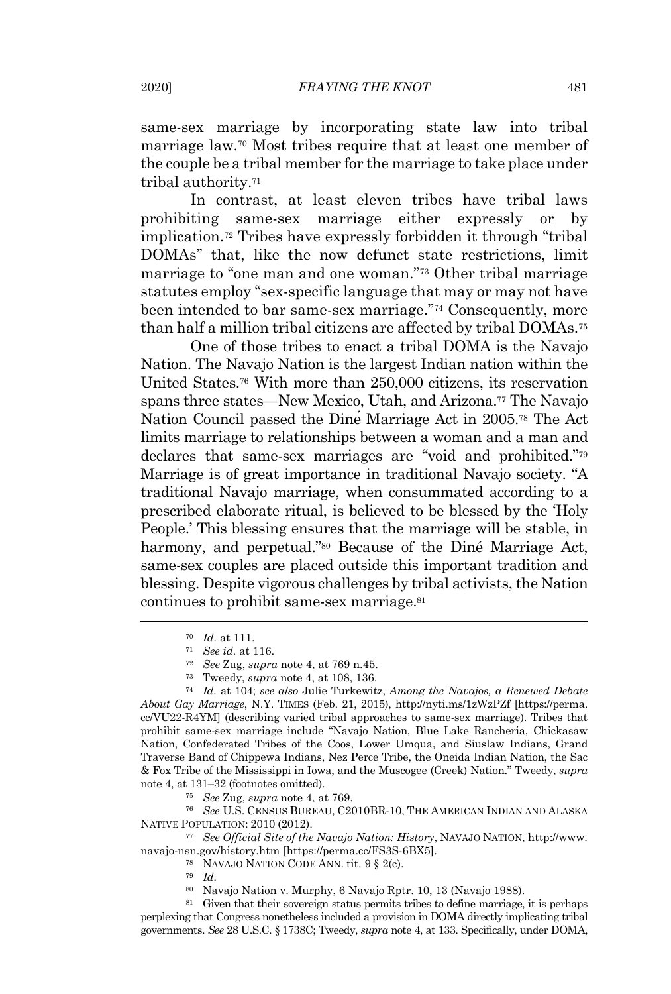same-sex marriage by incorporating state law into tribal marriage law.<sup>70</sup> Most tribes require that at least one member of the couple be a tribal member for the marriage to take place under tribal authority.<sup>71</sup>

In contrast, at least eleven tribes have tribal laws prohibiting same-sex marriage either expressly or by implication.<sup>72</sup> Tribes have expressly forbidden it through "tribal DOMAs" that, like the now defunct state restrictions, limit marriage to "one man and one woman."<sup>73</sup> Other tribal marriage statutes employ "sex-specific language that may or may not have been intended to bar same-sex marriage."<sup>74</sup> Consequently, more than half a million tribal citizens are affected by tribal DOMAs.<sup>75</sup>

One of those tribes to enact a tribal DOMA is the Navajo Nation. The Navajo Nation is the largest Indian nation within the United States. <sup>76</sup> With more than 250,000 citizens, its reservation spans three states—New Mexico, Utah, and Arizona.<sup>77</sup> The Navajo Nation Council passed the Dine Marriage Act in 2005.<sup>78</sup> The Act limits marriage to relationships between a woman and a man and declares that same-sex marriages are "void and prohibited."<sup>79</sup> Marriage is of great importance in traditional Navajo society. "A traditional Navajo marriage, when consummated according to a prescribed elaborate ritual, is believed to be blessed by the 'Holy People.' This blessing ensures that the marriage will be stable, in harmony, and perpetual."<sup>80</sup> Because of the Diné Marriage Act, same-sex couples are placed outside this important tradition and blessing. Despite vigorous challenges by tribal activists, the Nation continues to prohibit same-sex marriage.<sup>81</sup>

<sup>76</sup> *See* U.S. CENSUS BUREAU, C2010BR-10, THE AMERICAN INDIAN AND ALASKA NATIVE POPULATION: 2010 (2012).

<sup>77</sup> *See Official Site of the Navajo Nation: History*, NAVAJO NATION, http://www. navajo-nsn.gov/history.htm [https://perma.cc/FS3S-6BX5].

<sup>70</sup> *Id.* at 111.

<sup>71</sup> *See id.* at 116.

<sup>72</sup> *See* Zug, *supra* note 4, at 769 n.45.

<sup>73</sup> Tweedy, *supra* note 4, at 108, 136.

<sup>74</sup> *Id.* at 104; *see also* Julie Turkewitz, *Among the Navajos, a Renewed Debate About Gay Marriage*, N.Y. TIMES (Feb. 21, 2015), http://nyti.ms/1zWzPZf [https://perma. cc/VU22-R4YM] (describing varied tribal approaches to same-sex marriage). Tribes that prohibit same-sex marriage include "Navajo Nation, Blue Lake Rancheria, Chickasaw Nation, Confederated Tribes of the Coos, Lower Umqua, and Siuslaw Indians, Grand Traverse Band of Chippewa Indians, Nez Perce Tribe, the Oneida Indian Nation, the Sac & Fox Tribe of the Mississippi in Iowa, and the Muscogee (Creek) Nation." Tweedy, *supra* note 4, at 131–32 (footnotes omitted).

<sup>75</sup> *See* Zug, *supra* note 4, at 769.

<sup>78</sup> NAVAJO NATION CODE ANN. tit. 9 § 2(c).

<sup>79</sup> *Id.*

<sup>80</sup> Navajo Nation v. Murphy, 6 Navajo Rptr. 10, 13 (Navajo 1988).

<sup>&</sup>lt;sup>81</sup> Given that their sovereign status permits tribes to define marriage, it is perhaps perplexing that Congress nonetheless included a provision in DOMA directly implicating tribal governments. *See* 28 U.S.C. § 1738C; Tweedy, *supra* note 4, at 133. Specifically, under DOMA,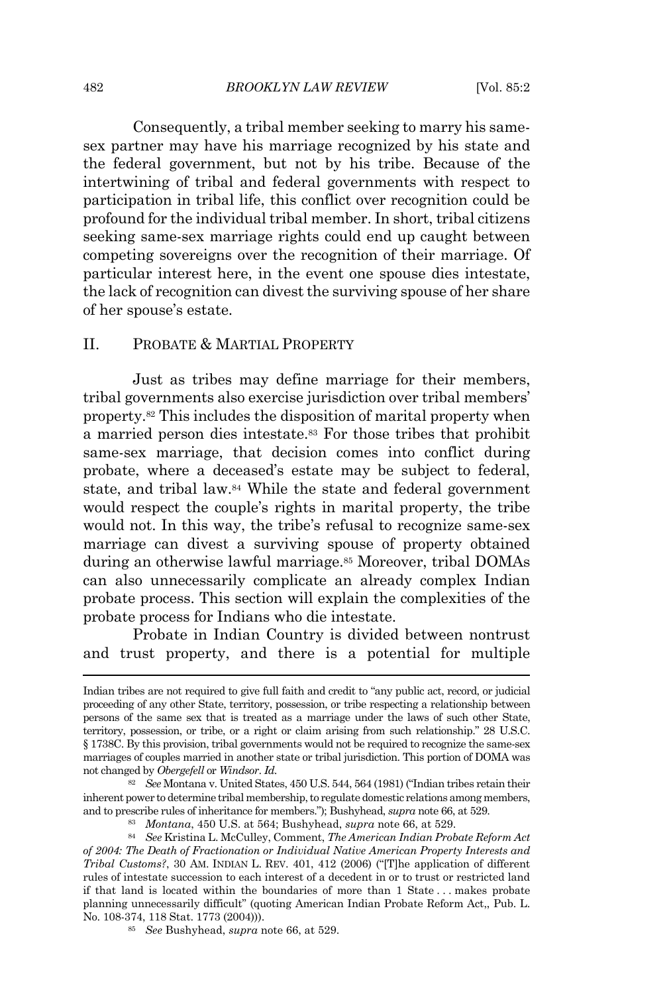Consequently, a tribal member seeking to marry his samesex partner may have his marriage recognized by his state and the federal government, but not by his tribe. Because of the intertwining of tribal and federal governments with respect to participation in tribal life, this conflict over recognition could be profound for the individual tribal member. In short, tribal citizens seeking same-sex marriage rights could end up caught between competing sovereigns over the recognition of their marriage. Of particular interest here, in the event one spouse dies intestate, the lack of recognition can divest the surviving spouse of her share of her spouse's estate.

#### II. PROBATE & MARTIAL PROPERTY

Just as tribes may define marriage for their members, tribal governments also exercise jurisdiction over tribal members' property.<sup>82</sup> This includes the disposition of marital property when a married person dies intestate.<sup>83</sup> For those tribes that prohibit same-sex marriage, that decision comes into conflict during probate, where a deceased's estate may be subject to federal, state, and tribal law.<sup>84</sup> While the state and federal government would respect the couple's rights in marital property, the tribe would not. In this way, the tribe's refusal to recognize same-sex marriage can divest a surviving spouse of property obtained during an otherwise lawful marriage. <sup>85</sup> Moreover, tribal DOMAs can also unnecessarily complicate an already complex Indian probate process. This section will explain the complexities of the probate process for Indians who die intestate.

Probate in Indian Country is divided between nontrust and trust property, and there is a potential for multiple

Indian tribes are not required to give full faith and credit to "any public act, record, or judicial proceeding of any other State, territory, possession, or tribe respecting a relationship between persons of the same sex that is treated as a marriage under the laws of such other State, territory, possession, or tribe, or a right or claim arising from such relationship." 28 U.S.C. § 1738C. By this provision, tribal governments would not be required to recognize the same-sex marriages of couples married in another state or tribal jurisdiction. This portion of DOMA was not changed by *Obergefell* or *Windsor*. *Id.*

<sup>82</sup> *See* Montana v. United States, 450 U.S. 544, 564 (1981) ("Indian tribes retain their inherent power to determine tribal membership, to regulate domestic relations among members, and to prescribe rules of inheritance for members."); Bushyhead, *supra* note 66, at 529.

<sup>83</sup> *Montana*, 450 U.S. at 564; Bushyhead, *supra* note 66, at 529.

<sup>84</sup> *See* Kristina L. McCulley, Comment, *The American Indian Probate Reform Act of 2004: The Death of Fractionation or Individual Native American Property Interests and Tribal Customs?*, 30 AM. INDIAN L. REV. 401, 412 (2006) ("[T]he application of different rules of intestate succession to each interest of a decedent in or to trust or restricted land if that land is located within the boundaries of more than 1 State . . . makes probate planning unnecessarily difficult" (quoting American Indian Probate Reform Act,, Pub. L. No. 108-374, 118 Stat. 1773 (2004))).

<sup>85</sup> *See* Bushyhead, *supra* note 66, at 529.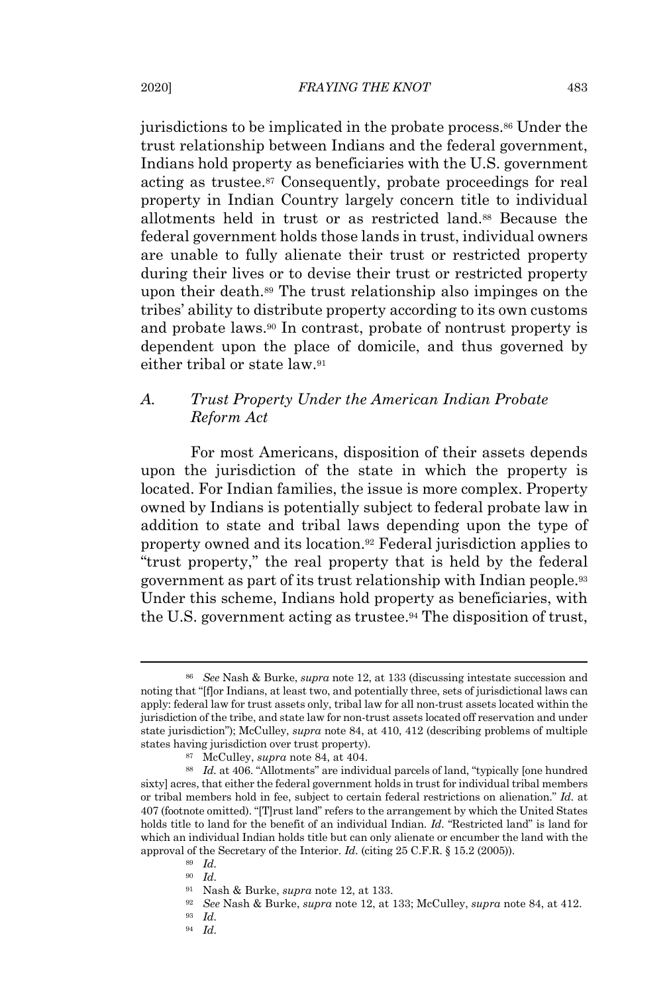jurisdictions to be implicated in the probate process.<sup>86</sup> Under the trust relationship between Indians and the federal government, Indians hold property as beneficiaries with the U.S. government acting as trustee.<sup>87</sup> Consequently, probate proceedings for real property in Indian Country largely concern title to individual allotments held in trust or as restricted land.<sup>88</sup> Because the federal government holds those lands in trust, individual owners are unable to fully alienate their trust or restricted property during their lives or to devise their trust or restricted property upon their death.<sup>89</sup> The trust relationship also impinges on the tribes' ability to distribute property according to its own customs and probate laws.<sup>90</sup> In contrast, probate of nontrust property is dependent upon the place of domicile, and thus governed by either tribal or state law.<sup>91</sup>

#### *A. Trust Property Under the American Indian Probate Reform Act*

For most Americans, disposition of their assets depends upon the jurisdiction of the state in which the property is located. For Indian families, the issue is more complex. Property owned by Indians is potentially subject to federal probate law in addition to state and tribal laws depending upon the type of property owned and its location.<sup>92</sup> Federal jurisdiction applies to "trust property," the real property that is held by the federal government as part of its trust relationship with Indian people.<sup>93</sup> Under this scheme, Indians hold property as beneficiaries, with the U.S. government acting as trustee.<sup>94</sup> The disposition of trust,

<sup>86</sup> *See* Nash & Burke, *supra* note 12, at 133 (discussing intestate succession and noting that "[f]or Indians, at least two, and potentially three, sets of jurisdictional laws can apply: federal law for trust assets only, tribal law for all non-trust assets located within the jurisdiction of the tribe, and state law for non-trust assets located off reservation and under state jurisdiction"); McCulley, *supra* note 84, at 410, 412 (describing problems of multiple states having jurisdiction over trust property).

<sup>87</sup> McCulley, *supra* note 84, at 404.

<sup>88</sup> *Id.* at 406. "Allotments" are individual parcels of land, "typically [one hundred sixty] acres, that either the federal government holds in trust for individual tribal members or tribal members hold in fee, subject to certain federal restrictions on alienation." *Id.* at 407 (footnote omitted). "[T]rust land" refers to the arrangement by which the United States holds title to land for the benefit of an individual Indian. *Id.* "Restricted land" is land for which an individual Indian holds title but can only alienate or encumber the land with the approval of the Secretary of the Interior. *Id.* (citing 25 C.F.R. § 15.2 (2005)).

<sup>89</sup> *Id.*

<sup>90</sup> *Id.*

<sup>91</sup> Nash & Burke, *supra* note 12, at 133.

<sup>92</sup> *See* Nash & Burke, *supra* note 12, at 133; McCulley, *supra* note 84, at 412.

<sup>93</sup> *Id.*

<sup>94</sup> *Id.*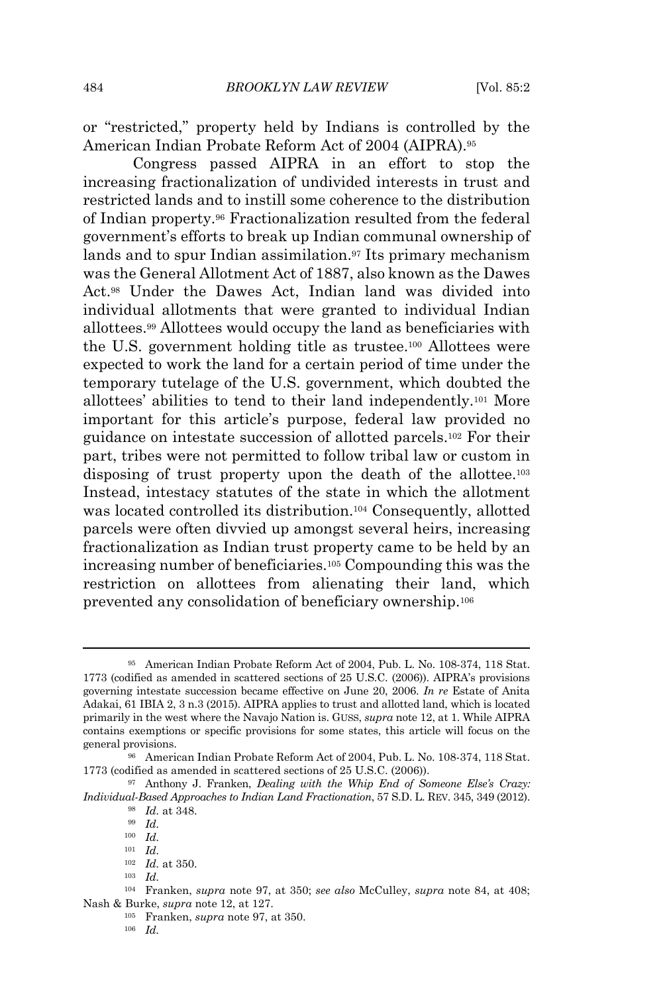or "restricted," property held by Indians is controlled by the American Indian Probate Reform Act of 2004 (AIPRA).<sup>95</sup>

Congress passed AIPRA in an effort to stop the increasing fractionalization of undivided interests in trust and restricted lands and to instill some coherence to the distribution of Indian property.<sup>96</sup> Fractionalization resulted from the federal government's efforts to break up Indian communal ownership of lands and to spur Indian assimilation.<sup>97</sup> Its primary mechanism was the General Allotment Act of 1887, also known as the Dawes Act.<sup>98</sup> Under the Dawes Act, Indian land was divided into individual allotments that were granted to individual Indian allottees. <sup>99</sup> Allottees would occupy the land as beneficiaries with the U.S. government holding title as trustee.<sup>100</sup> Allottees were expected to work the land for a certain period of time under the temporary tutelage of the U.S. government, which doubted the allottees' abilities to tend to their land independently. <sup>101</sup> More important for this article's purpose, federal law provided no guidance on intestate succession of allotted parcels.<sup>102</sup> For their part, tribes were not permitted to follow tribal law or custom in disposing of trust property upon the death of the allottee.<sup>103</sup> Instead, intestacy statutes of the state in which the allotment was located controlled its distribution.<sup>104</sup> Consequently, allotted parcels were often divvied up amongst several heirs, increasing fractionalization as Indian trust property came to be held by an increasing number of beneficiaries.<sup>105</sup> Compounding this was the restriction on allottees from alienating their land, which prevented any consolidation of beneficiary ownership.<sup>106</sup>

<sup>95</sup> American Indian Probate Reform Act of 2004, Pub. L. No. 108-374, 118 Stat. 1773 (codified as amended in scattered sections of 25 U.S.C. (2006)). AIPRA's provisions governing intestate succession became effective on June 20, 2006. *In re* Estate of Anita Adakai, 61 IBIA 2, 3 n.3 (2015). AIPRA applies to trust and allotted land, which is located primarily in the west where the Navajo Nation is. GUSS, *supra* note 12, at 1. While AIPRA contains exemptions or specific provisions for some states, this article will focus on the general provisions.

<sup>96</sup> American Indian Probate Reform Act of 2004, Pub. L. No. 108-374, 118 Stat. 1773 (codified as amended in scattered sections of 25 U.S.C. (2006)).

<sup>97</sup> Anthony J. Franken, *Dealing with the Whip End of Someone Else's Crazy: Individual-Based Approaches to Indian Land Fractionation*, 57 S.D. L. REV. 345, 349 (2012).

<sup>98</sup> *Id.* at 348.

<sup>99</sup> *Id.*

<sup>100</sup> *Id.*

<sup>101</sup> *Id.*

<sup>102</sup> *Id.* at 350.

<sup>103</sup> *Id.*

<sup>104</sup> Franken, *supra* note 97, at 350; *see also* McCulley, *supra* note 84, at 408; Nash & Burke, *supra* note 12, at 127.

<sup>105</sup> Franken, *supra* note 97, at 350.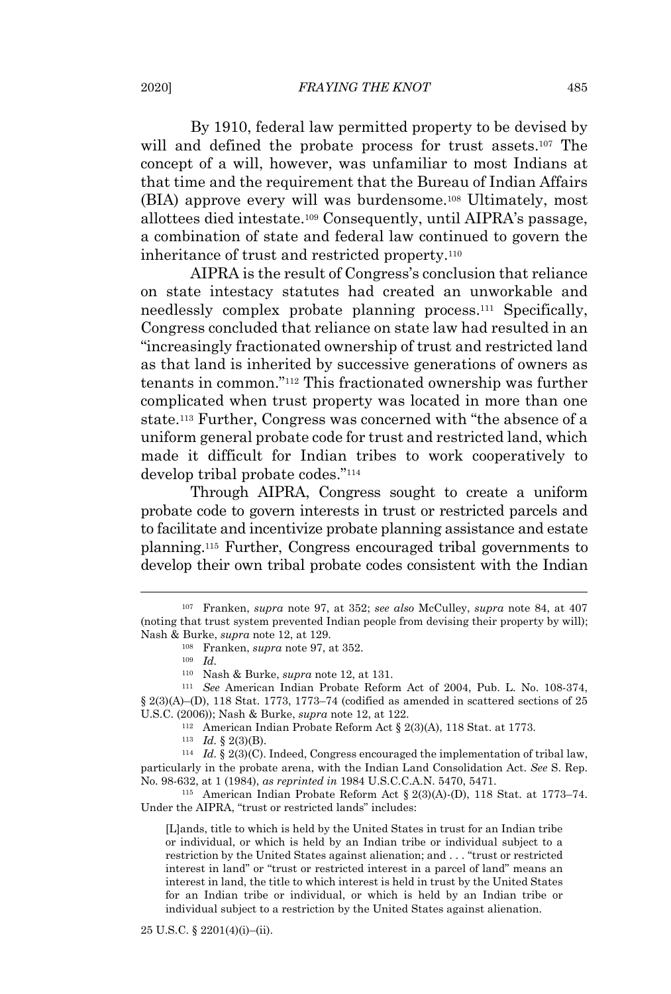By 1910, federal law permitted property to be devised by will and defined the probate process for trust assets.<sup>107</sup> The concept of a will, however, was unfamiliar to most Indians at that time and the requirement that the Bureau of Indian Affairs (BIA) approve every will was burdensome.<sup>108</sup> Ultimately, most allottees died intestate.<sup>109</sup> Consequently, until AIPRA's passage, a combination of state and federal law continued to govern the inheritance of trust and restricted property. 110

AIPRA is the result of Congress's conclusion that reliance on state intestacy statutes had created an unworkable and needlessly complex probate planning process.<sup>111</sup> Specifically, Congress concluded that reliance on state law had resulted in an "increasingly fractionated ownership of trust and restricted land as that land is inherited by successive generations of owners as tenants in common."<sup>112</sup> This fractionated ownership was further complicated when trust property was located in more than one state.<sup>113</sup> Further, Congress was concerned with "the absence of a uniform general probate code for trust and restricted land, which made it difficult for Indian tribes to work cooperatively to develop tribal probate codes."<sup>114</sup>

Through AIPRA, Congress sought to create a uniform probate code to govern interests in trust or restricted parcels and to facilitate and incentivize probate planning assistance and estate planning.<sup>115</sup> Further, Congress encouraged tribal governments to develop their own tribal probate codes consistent with the Indian

<sup>114</sup> *Id.* § 2(3)(C). Indeed, Congress encouraged the implementation of tribal law, particularly in the probate arena, with the Indian Land Consolidation Act. *See* S. Rep. No. 98-632, at 1 (1984), *as reprinted in* 1984 U.S.C.C.A.N. 5470, 5471.

<sup>115</sup> American Indian Probate Reform Act § 2(3)(A)-(D), 118 Stat. at 1773–74. Under the AIPRA, "trust or restricted lands" includes:

[L]ands, title to which is held by the United States in trust for an Indian tribe or individual, or which is held by an Indian tribe or individual subject to a restriction by the United States against alienation; and . . . "trust or restricted interest in land" or "trust or restricted interest in a parcel of land" means an interest in land, the title to which interest is held in trust by the United States for an Indian tribe or individual, or which is held by an Indian tribe or individual subject to a restriction by the United States against alienation.

<sup>107</sup> Franken, *supra* note 97, at 352; *see also* McCulley, *supra* note 84, at 407 (noting that trust system prevented Indian people from devising their property by will); Nash & Burke, *supra* note 12, at 129.

<sup>108</sup> Franken, *supra* note 97, at 352.

<sup>109</sup> *Id.*

<sup>110</sup> Nash & Burke, *supra* note 12, at 131.

<sup>111</sup> *See* American Indian Probate Reform Act of 2004, Pub. L. No. 108-374,  $\S 2(3)(A)$ –(D), 118 Stat. 1773, 1773–74 (codified as amended in scattered sections of 25 U.S.C. (2006)); Nash & Burke, *supra* note 12, at 122.

<sup>112</sup> American Indian Probate Reform Act § 2(3)(A), 118 Stat. at 1773.

<sup>113</sup> *Id.* § 2(3)(B).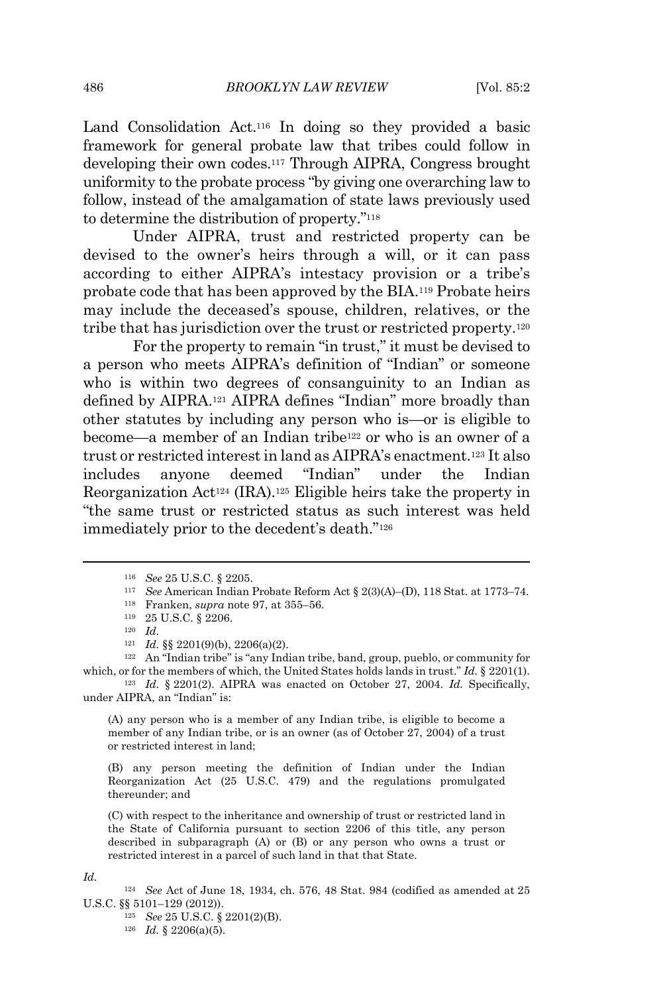Land Consolidation Act.<sup>116</sup> In doing so they provided a basic framework for general probate law that tribes could follow in developing their own codes.<sup>117</sup> Through AIPRA, Congress brought uniformity to the probate process "by giving one overarching law to follow, instead of the amalgamation of state laws previously used to determine the distribution of property." 118

Under AIPRA, trust and restricted property can be devised to the owner's heirs through a will, or it can pass according to either AIPRA's intestacy provision or a tribe's probate code that has been approved by the BIA.<sup>119</sup> Probate heirs may include the deceased's spouse, children, relatives, or the tribe that has jurisdiction over the trust or restricted property.<sup>120</sup>

For the property to remain "in trust," it must be devised to a person who meets AIPRA's definition of "Indian" or someone who is within two degrees of consanguinity to an Indian as defined by AIPRA. <sup>121</sup> AIPRA defines "Indian" more broadly than other statutes by including any person who is—or is eligible to become—a member of an Indian tribe<sup>122</sup> or who is an owner of a trust or restricted interestin land as AIPRA's enactment.<sup>123</sup> It also includes anyone deemed "Indian" under the Indian Reorganization Act<sup>124</sup> (IRA).<sup>125</sup> Eligible heirs take the property in "the same trust or restricted status as such interest was held immediately prior to the decedent's death."<sup>126</sup>

<sup>123</sup> *Id.* § 2201(2). AIPRA was enacted on October 27, 2004. *Id.* Specifically, under AIPRA, an "Indian" is:

(A) any person who is a member of any Indian tribe, is eligible to become a member of any Indian tribe, or is an owner (as of October 27, 2004) of a trust or restricted interest in land;

(B) any person meeting the definition of Indian under the Indian Reorganization Act (25 U.S.C. 479) and the regulations promulgated thereunder; and

(C) with respect to the inheritance and ownership of trust or restricted land in the State of California pursuant to section 2206 of this title, any person described in subparagraph (A) or (B) or any person who owns a trust or restricted interest in a parcel of such land in that that State.

*Id.*

<sup>116</sup> *See* 25 U.S.C. § 2205.

<sup>117</sup> *See* American Indian Probate Reform Act § 2(3)(A)–(D), 118 Stat. at 1773–74.

<sup>118</sup> Franken, *supra* note 97, at 355–56.

<sup>119</sup> 25 U.S.C. § 2206.

<sup>120</sup> *Id.*

 $121$  *Id.* §§ 2201(9)(b), 2206(a)(2).

<sup>122</sup> An "Indian tribe" is "any Indian tribe, band, group, pueblo, or community for which, or for the members of which, the United States holds lands in trust." *Id.* § 2201(1).

<sup>124</sup> *See* Act of June 18, 1934, ch. 576, 48 Stat. 984 (codified as amended at 25 U.S.C. §§ 5101–129 (2012)).

<sup>125</sup> *See* 25 U.S.C. § 2201(2)(B).

<sup>126</sup> *Id.* § 2206(a)(5).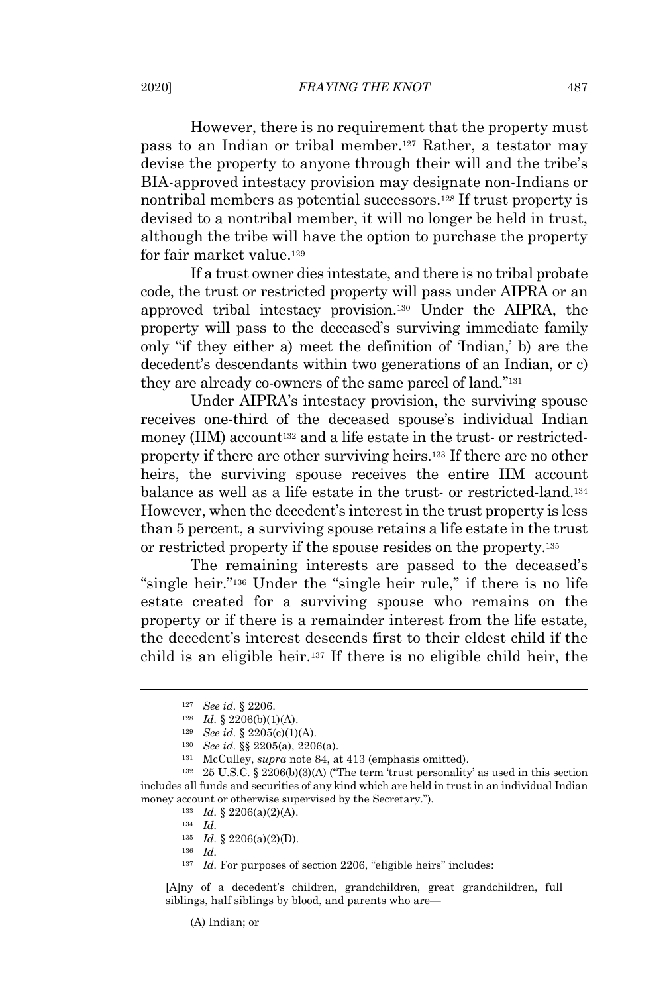However, there is no requirement that the property must pass to an Indian or tribal member. <sup>127</sup> Rather, a testator may devise the property to anyone through their will and the tribe's BIA-approved intestacy provision may designate non-Indians or nontribal members as potential successors.<sup>128</sup> If trust property is devised to a nontribal member, it will no longer be held in trust, although the tribe will have the option to purchase the property for fair market value.<sup>129</sup>

If a trust owner dies intestate, and there is no tribal probate code, the trust or restricted property will pass under AIPRA or an approved tribal intestacy provision. <sup>130</sup> Under the AIPRA, the property will pass to the deceased's surviving immediate family only "if they either a) meet the definition of 'Indian,' b) are the decedent's descendants within two generations of an Indian, or c) they are already co-owners of the same parcel of land." 131

Under AIPRA's intestacy provision, the surviving spouse receives one-third of the deceased spouse's individual Indian money (IIM) account<sup>132</sup> and a life estate in the trust- or restrictedproperty if there are other surviving heirs.<sup>133</sup> If there are no other heirs, the surviving spouse receives the entire IIM account balance as well as a life estate in the trust- or restricted-land. 134 However, when the decedent's interestin the trust property is less than 5 percent, a surviving spouse retains a life estate in the trust or restricted property if the spouse resides on the property.<sup>135</sup>

The remaining interests are passed to the deceased's "single heir."<sup>136</sup> Under the "single heir rule," if there is no life estate created for a surviving spouse who remains on the property or if there is a remainder interest from the life estate, the decedent's interest descends first to their eldest child if the child is an eligible heir. <sup>137</sup> If there is no eligible child heir, the

<sup>132</sup> 25 U.S.C. § 2206(b)(3)(A) ("The term 'trust personality' as used in this section includes all funds and securities of any kind which are held in trust in an individual Indian money account or otherwise supervised by the Secretary.").

<sup>133</sup> *Id.* § 2206(a)(2)(A).

<sup>136</sup> *Id.*

<sup>137</sup> *Id.* For purposes of section 2206, "eligible heirs" includes:

[A]ny of a decedent's children, grandchildren, great grandchildren, full siblings, half siblings by blood, and parents who are—

(A) Indian; or

<sup>127</sup> *See id.* § 2206.

 $128$  *Id.* § 2206(b)(1)(A).

<sup>129</sup> *See id.* § 2205(c)(1)(A).

<sup>130</sup> *See id.* §§ 2205(a), 2206(a).

<sup>131</sup> McCulley, *supra* note 84, at 413 (emphasis omitted).

<sup>134</sup> *Id.*

<sup>135</sup> *Id.* § 2206(a)(2)(D).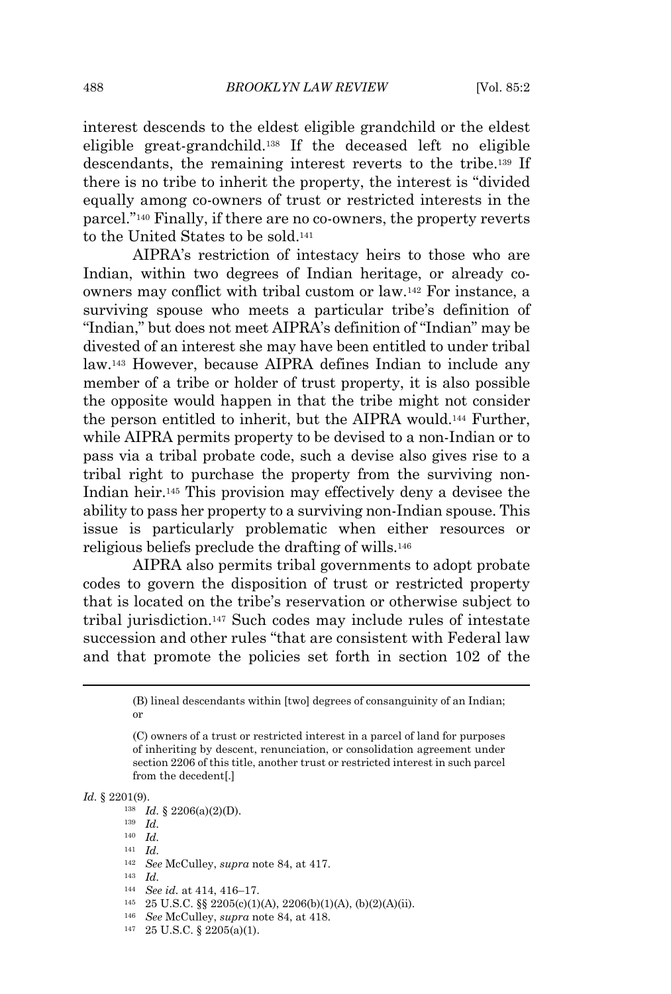interest descends to the eldest eligible grandchild or the eldest eligible great-grandchild. <sup>138</sup> If the deceased left no eligible descendants, the remaining interest reverts to the tribe.<sup>139</sup> If there is no tribe to inherit the property, the interest is "divided equally among co-owners of trust or restricted interests in the parcel."<sup>140</sup> Finally, if there are no co-owners, the property reverts to the United States to be sold.<sup>141</sup>

AIPRA's restriction of intestacy heirs to those who are Indian, within two degrees of Indian heritage, or already coowners may conflict with tribal custom or law. <sup>142</sup> For instance, a surviving spouse who meets a particular tribe's definition of "Indian," but does not meet AIPRA's definition of "Indian" may be divested of an interest she may have been entitled to under tribal law.<sup>143</sup> However, because AIPRA defines Indian to include any member of a tribe or holder of trust property, it is also possible the opposite would happen in that the tribe might not consider the person entitled to inherit, but the AIPRA would.<sup>144</sup> Further, while AIPRA permits property to be devised to a non-Indian or to pass via a tribal probate code, such a devise also gives rise to a tribal right to purchase the property from the surviving non-Indian heir.<sup>145</sup> This provision may effectively deny a devisee the ability to pass her property to a surviving non-Indian spouse. This issue is particularly problematic when either resources or religious beliefs preclude the drafting of wills.<sup>146</sup>

AIPRA also permits tribal governments to adopt probate codes to govern the disposition of trust or restricted property that is located on the tribe's reservation or otherwise subject to tribal jurisdiction.<sup>147</sup> Such codes may include rules of intestate succession and other rules "that are consistent with Federal law and that promote the policies set forth in section 102 of the

*Id.* § 2201(9).

- <sup>143</sup> *Id.*
- <sup>144</sup> *See id.* at 414, 416–17.
- <sup>145</sup> 25 U.S.C. §§ 2205(c)(1)(A), 2206(b)(1)(A), (b)(2)(A)(ii).
- <sup>146</sup> *See* McCulley, *supra* note 84, at 418.
- <sup>147</sup> 25 U.S.C. § 2205(a)(1).

<sup>(</sup>B) lineal descendants within [two] degrees of consanguinity of an Indian; or

<sup>(</sup>C) owners of a trust or restricted interest in a parcel of land for purposes of inheriting by descent, renunciation, or consolidation agreement under section 2206 of this title, another trust or restricted interest in such parcel from the decedent[.]

<sup>&</sup>lt;sup>138</sup> *Id.* § 2206(a)(2)(D).

<sup>139</sup> *Id.*

<sup>140</sup> *Id.*

<sup>141</sup> *Id.*

<sup>142</sup> *See* McCulley, *supra* note 84, at 417.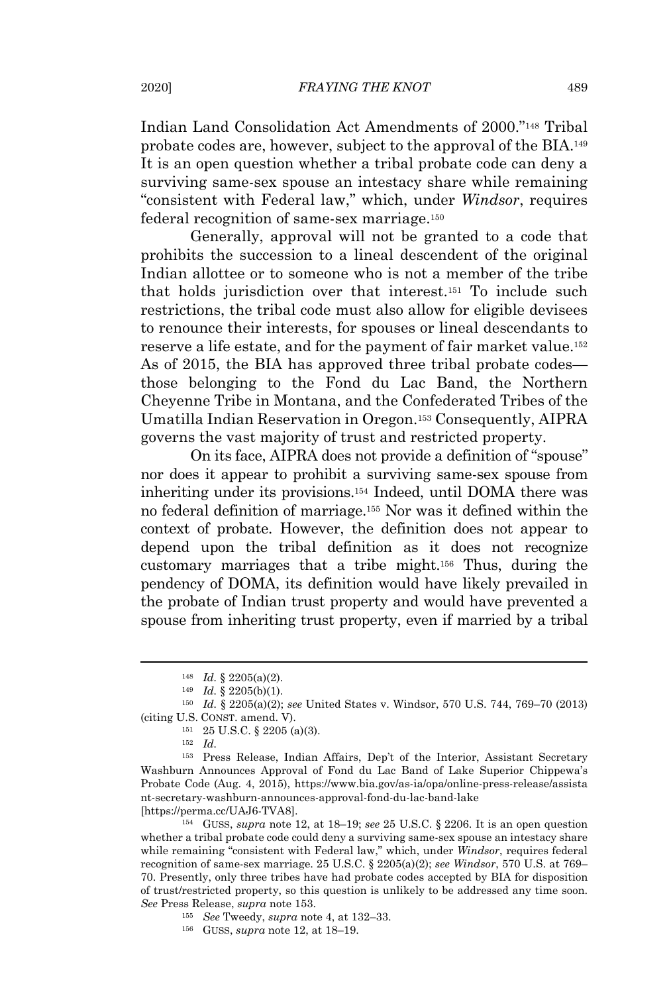Indian Land Consolidation Act Amendments of 2000."<sup>148</sup> Tribal probate codes are, however, subject to the approval of the BIA.<sup>149</sup> It is an open question whether a tribal probate code can deny a surviving same-sex spouse an intestacy share while remaining "consistent with Federal law," which, under *Windsor*, requires federal recognition of same-sex marriage.<sup>150</sup>

Generally, approval will not be granted to a code that prohibits the succession to a lineal descendent of the original Indian allottee or to someone who is not a member of the tribe that holds jurisdiction over that interest. <sup>151</sup> To include such restrictions, the tribal code must also allow for eligible devisees to renounce their interests, for spouses or lineal descendants to reserve a life estate, and for the payment of fair market value.<sup>152</sup> As of 2015, the BIA has approved three tribal probate codes those belonging to the Fond du Lac Band, the Northern Cheyenne Tribe in Montana, and the Confederated Tribes of the Umatilla Indian Reservation in Oregon.<sup>153</sup> Consequently, AIPRA governs the vast majority of trust and restricted property.

On its face, AIPRA does not provide a definition of "spouse" nor does it appear to prohibit a surviving same-sex spouse from inheriting under its provisions.<sup>154</sup> Indeed, until DOMA there was no federal definition of marriage.<sup>155</sup> Nor was it defined within the context of probate. However, the definition does not appear to depend upon the tribal definition as it does not recognize customary marriages that a tribe might. <sup>156</sup> Thus, during the pendency of DOMA, its definition would have likely prevailed in the probate of Indian trust property and would have prevented a spouse from inheriting trust property, even if married by a tribal

[https://perma.cc/UAJ6-TVA8].

<sup>154</sup> GUSS, *supra* note 12, at 18–19; *see* 25 U.S.C. § 2206. It is an open question whether a tribal probate code could deny a surviving same-sex spouse an intestacy share while remaining "consistent with Federal law," which, under *Windsor*, requires federal recognition of same-sex marriage. 25 U.S.C. § 2205(a)(2); *see Windsor*, 570 U.S. at 769– 70. Presently, only three tribes have had probate codes accepted by BIA for disposition of trust/restricted property, so this question is unlikely to be addressed any time soon. *See* Press Release, *supra* note 153.

<sup>155</sup> *See* Tweedy, *supra* note 4, at 132–33.

<sup>148</sup> *Id.* § 2205(a)(2).

<sup>149</sup> *Id.* § 2205(b)(1).

<sup>150</sup> *Id.* § 2205(a)(2); *see* United States v. Windsor, 570 U.S. 744, 769–70 (2013) (citing U.S. CONST. amend. V).

<sup>151</sup> 25 U.S.C. § 2205 (a)(3).

<sup>152</sup> *Id.*

<sup>153</sup> Press Release, Indian Affairs, Dep't of the Interior, Assistant Secretary Washburn Announces Approval of Fond du Lac Band of Lake Superior Chippewa's Probate Code (Aug. 4, 2015), https://www.bia.gov/as-ia/opa/online-press-release/assista nt-secretary-washburn-announces-approval-fond-du-lac-band-lake

<sup>156</sup> GUSS, *supra* note 12, at 18–19.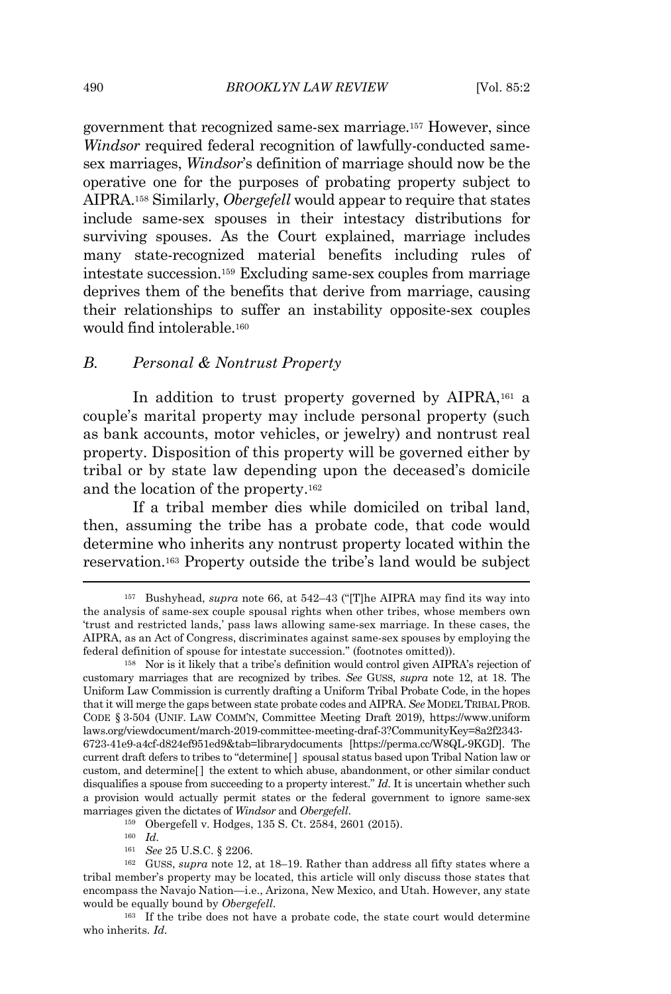government that recognized same-sex marriage.<sup>157</sup> However, since *Windsor* required federal recognition of lawfully-conducted samesex marriages, *Windsor*'s definition of marriage should now be the operative one for the purposes of probating property subject to AIPRA.<sup>158</sup> Similarly, *Obergefell* would appear to require that states include same-sex spouses in their intestacy distributions for surviving spouses. As the Court explained, marriage includes many state-recognized material benefits including rules of intestate succession. <sup>159</sup> Excluding same-sex couples from marriage deprives them of the benefits that derive from marriage, causing their relationships to suffer an instability opposite-sex couples would find intolerable.<sup>160</sup>

#### *B. Personal & Nontrust Property*

In addition to trust property governed by AIPRA,<sup>161</sup> a couple's marital property may include personal property (such as bank accounts, motor vehicles, or jewelry) and nontrust real property. Disposition of this property will be governed either by tribal or by state law depending upon the deceased's domicile and the location of the property.<sup>162</sup>

If a tribal member dies while domiciled on tribal land, then, assuming the tribe has a probate code, that code would determine who inherits any nontrust property located within the reservation.<sup>163</sup> Property outside the tribe's land would be subject

<sup>159</sup> Obergefell v. Hodges, 135 S. Ct. 2584, 2601 (2015).

<sup>160</sup> *Id.*

<sup>161</sup> *See* 25 U.S.C. § 2206.

<sup>163</sup> If the tribe does not have a probate code, the state court would determine who inherits*. Id.*

<sup>157</sup> Bushyhead, *supra* note 66, at 542–43 ("[T]he AIPRA may find its way into the analysis of same-sex couple spousal rights when other tribes, whose members own 'trust and restricted lands,' pass laws allowing same-sex marriage. In these cases, the AIPRA, as an Act of Congress, discriminates against same-sex spouses by employing the federal definition of spouse for intestate succession." (footnotes omitted)).

<sup>158</sup> Nor is it likely that a tribe's definition would control given AIPRA's rejection of customary marriages that are recognized by tribes. *See* GUSS, *supra* note 12, at 18. The Uniform Law Commission is currently drafting a Uniform Tribal Probate Code, in the hopes thatit will merge the gaps between state probate codes and AIPRA. *See* MODEL TRIBAL PROB. CODE § 3-504 (UNIF. LAW COMM'N, Committee Meeting Draft 2019), https://www.uniform laws.org/viewdocument/march-2019-committee-meeting-draf-3?CommunityKey=8a2f2343- 6723-41e9-a4cf-d824ef951ed9&tab=librarydocuments [https://perma.cc/W8QL-9KGD]. The current draft defers to tribes to "determine[ ] spousal status based upon Tribal Nation law or custom, and determine[ ] the extent to which abuse, abandonment, or other similar conduct disqualifies a spouse from succeeding to a property interest." *Id.* It is uncertain whether such a provision would actually permit states or the federal government to ignore same-sex marriages given the dictates of *Windsor* and *Obergefell*.

<sup>162</sup> GUSS, *supra* note 12, at 18–19. Rather than address all fifty states where a tribal member's property may be located, this article will only discuss those states that encompass the Navajo Nation—i.e., Arizona, New Mexico, and Utah. However, any state would be equally bound by *Obergefell*.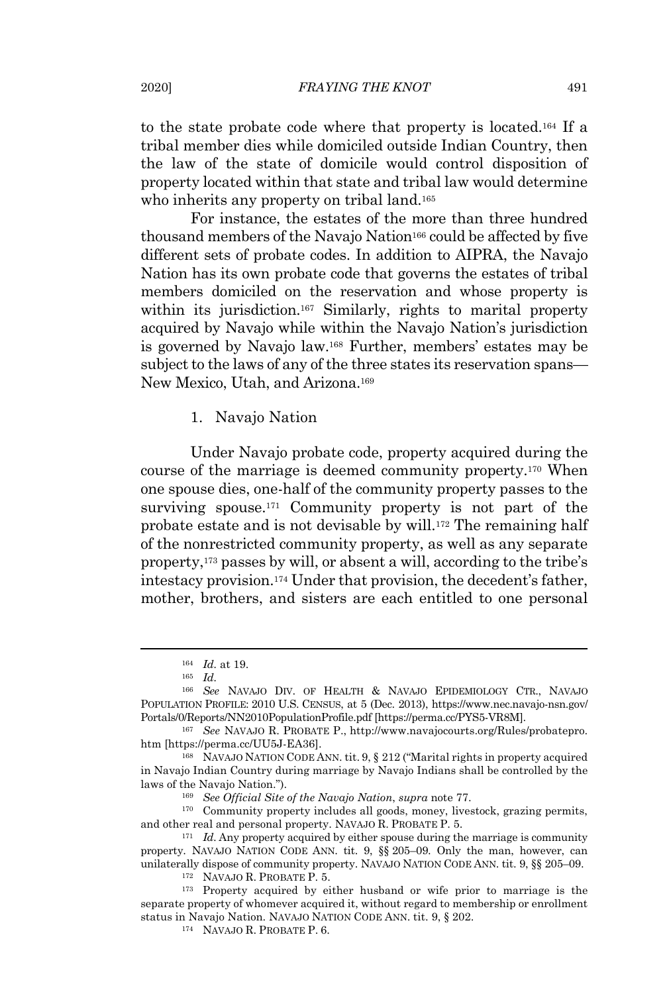to the state probate code where that property is located.<sup>164</sup> If a tribal member dies while domiciled outside Indian Country, then the law of the state of domicile would control disposition of property located within that state and tribal law would determine who inherits any property on tribal land.<sup>165</sup>

For instance, the estates of the more than three hundred thousand members of the Navajo Nation<sup>166</sup> could be affected by five different sets of probate codes. In addition to AIPRA, the Navajo Nation has its own probate code that governs the estates of tribal members domiciled on the reservation and whose property is within its jurisdiction.<sup>167</sup> Similarly, rights to marital property acquired by Navajo while within the Navajo Nation's jurisdiction is governed by Navajo law.<sup>168</sup> Further, members' estates may be subject to the laws of any of the three states its reservation spans— New Mexico, Utah, and Arizona.<sup>169</sup>

1. Navajo Nation

Under Navajo probate code, property acquired during the course of the marriage is deemed community property.<sup>170</sup> When one spouse dies, one-half of the community property passes to the surviving spouse.<sup>171</sup> Community property is not part of the probate estate and is not devisable by will.<sup>172</sup> The remaining half of the nonrestricted community property, as well as any separate property,<sup>173</sup> passes by will, or absent a will, according to the tribe's intestacy provision. <sup>174</sup> Under that provision, the decedent's father, mother, brothers, and sisters are each entitled to one personal

<sup>164</sup> *Id.* at 19.

<sup>165</sup> *Id.*

<sup>166</sup> *See* NAVAJO DIV. OF HEALTH & NAVAJO EPIDEMIOLOGY CTR., NAVAJO POPULATION PROFILE: 2010 U.S. CENSUS, at 5 (Dec. 2013), https://www.nec.navajo-nsn.gov/ Portals/0/Reports/NN2010PopulationProfile.pdf [https://perma.cc/PYS5-VR8M].

<sup>167</sup> *See* NAVAJO R. PROBATE P., http://www.navajocourts.org/Rules/probatepro. htm [https://perma.cc/UU5J-EA36].

<sup>168</sup> NAVAJO NATION CODE ANN. tit. 9, § 212 ("Marital rights in property acquired in Navajo Indian Country during marriage by Navajo Indians shall be controlled by the laws of the Navajo Nation.").

<sup>169</sup> *See Official Site of the Navajo Nation*, *supra* note 77.

<sup>170</sup> Community property includes all goods, money, livestock, grazing permits, and other real and personal property. NAVAJO R. PROBATE P. 5.

<sup>&</sup>lt;sup>171</sup> *Id.* Any property acquired by either spouse during the marriage is community property. NAVAJO NATION CODE ANN. tit. 9, §§ 205–09. Only the man, however, can unilaterally dispose of community property. NAVAJO NATION CODE ANN. tit. 9, §§ 205–09.

<sup>172</sup> NAVAJO R. PROBATE P. 5.

<sup>173</sup> Property acquired by either husband or wife prior to marriage is the separate property of whomever acquired it, without regard to membership or enrollment status in Navajo Nation. NAVAJO NATION CODE ANN. tit. 9, § 202.

<sup>174</sup> NAVAJO R. PROBATE P. 6.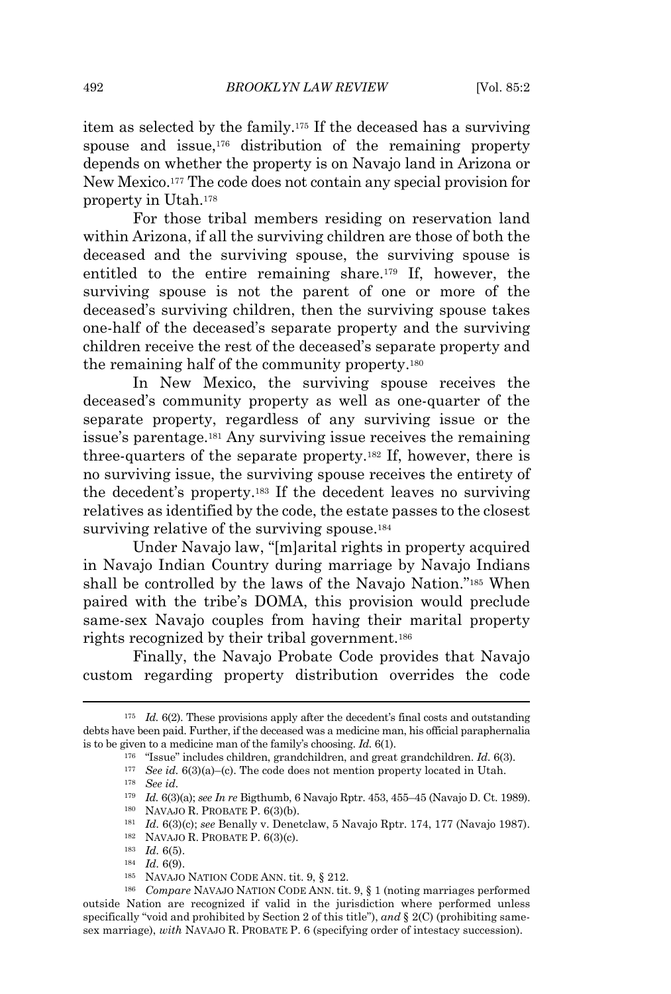item as selected by the family.<sup>175</sup> If the deceased has a surviving spouse and issue, <sup>176</sup> distribution of the remaining property depends on whether the property is on Navajo land in Arizona or New Mexico. <sup>177</sup> The code does not contain any special provision for property in Utah.<sup>178</sup>

For those tribal members residing on reservation land within Arizona, if all the surviving children are those of both the deceased and the surviving spouse, the surviving spouse is entitled to the entire remaining share.<sup>179</sup> If, however, the surviving spouse is not the parent of one or more of the deceased's surviving children, then the surviving spouse takes one-half of the deceased's separate property and the surviving children receive the rest of the deceased's separate property and the remaining half of the community property.<sup>180</sup>

In New Mexico, the surviving spouse receives the deceased's community property as well as one-quarter of the separate property, regardless of any surviving issue or the issue's parentage.<sup>181</sup> Any surviving issue receives the remaining three-quarters of the separate property.<sup>182</sup> If, however, there is no surviving issue, the surviving spouse receives the entirety of the decedent's property.<sup>183</sup> If the decedent leaves no surviving relatives as identified by the code, the estate passes to the closest surviving relative of the surviving spouse.<sup>184</sup>

Under Navajo law, "[m]arital rights in property acquired in Navajo Indian Country during marriage by Navajo Indians shall be controlled by the laws of the Navajo Nation." <sup>185</sup> When paired with the tribe's DOMA, this provision would preclude same-sex Navajo couples from having their marital property rights recognized by their tribal government. 186

Finally, the Navajo Probate Code provides that Navajo custom regarding property distribution overrides the code

<sup>&</sup>lt;sup>175</sup> *Id.* 6(2). These provisions apply after the decedent's final costs and outstanding debts have been paid. Further, if the deceased was a medicine man, his official paraphernalia is to be given to a medicine man of the family's choosing. *Id.* 6(1).

<sup>176</sup> "Issue" includes children, grandchildren, and great grandchildren. *Id.* 6(3).

<sup>177</sup> *See id.* 6(3)(a)–(c). The code does not mention property located in Utah.

<sup>178</sup> *See id.*

<sup>179</sup> *Id.* 6(3)(a); *see In re* Bigthumb, 6 Navajo Rptr. 453, 455–45 (Navajo D. Ct. 1989).

<sup>180</sup> NAVAJO R. PROBATE P. 6(3)(b).

<sup>181</sup> *Id.* 6(3)(c); *see* Benally v. Denetclaw, 5 Navajo Rptr. 174, 177 (Navajo 1987).

<sup>182</sup> NAVAJO R. PROBATE P. 6(3)(c).

<sup>183</sup> *Id.* 6(5).

<sup>184</sup> *Id.* 6(9).

<sup>185</sup> NAVAJO NATION CODE ANN. tit. 9, § 212.

<sup>186</sup> *Compare* NAVAJO NATION CODE ANN. tit. 9, § 1 (noting marriages performed outside Nation are recognized if valid in the jurisdiction where performed unless specifically "void and prohibited by Section 2 of this title"), *and* § 2(C) (prohibiting samesex marriage), *with* NAVAJO R. PROBATE P. 6 (specifying order of intestacy succession).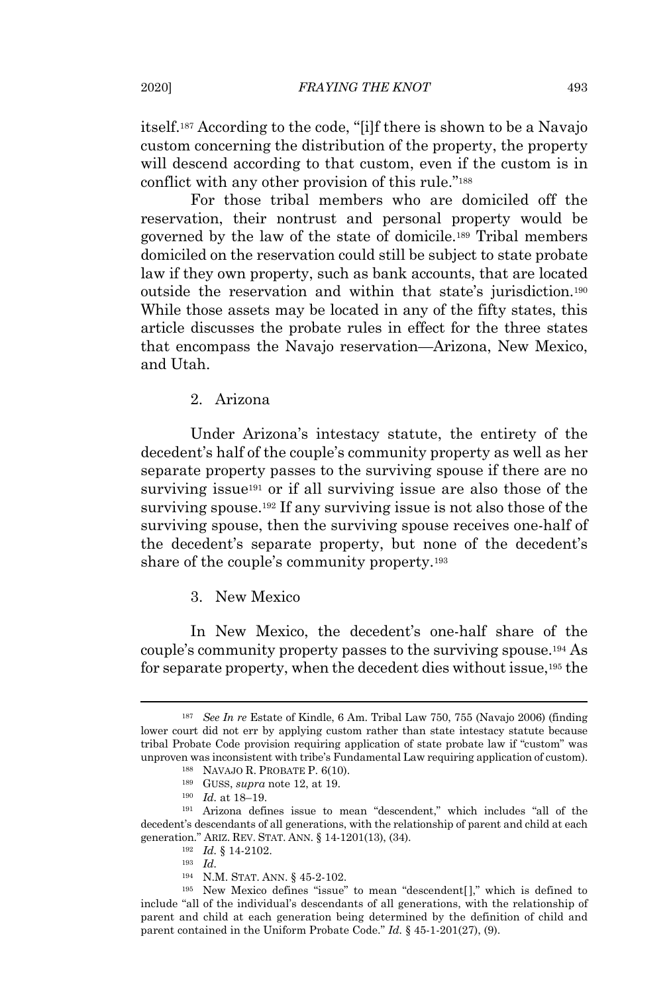itself.<sup>187</sup> According to the code, "[i]f there is shown to be a Navajo custom concerning the distribution of the property, the property will descend according to that custom, even if the custom is in conflict with any other provision of this rule."<sup>188</sup>

For those tribal members who are domiciled off the reservation, their nontrust and personal property would be governed by the law of the state of domicile.<sup>189</sup> Tribal members domiciled on the reservation could still be subject to state probate law if they own property, such as bank accounts, that are located outside the reservation and within that state's jurisdiction.<sup>190</sup> While those assets may be located in any of the fifty states, this article discusses the probate rules in effect for the three states that encompass the Navajo reservation—Arizona, New Mexico, and Utah.

2. Arizona

Under Arizona's intestacy statute, the entirety of the decedent's half of the couple's community property as well as her separate property passes to the surviving spouse if there are no surviving issue<sup>191</sup> or if all surviving issue are also those of the surviving spouse.<sup>192</sup> If any surviving issue is not also those of the surviving spouse, then the surviving spouse receives one-half of the decedent's separate property, but none of the decedent's share of the couple's community property.<sup>193</sup>

3. New Mexico

In New Mexico, the decedent's one-half share of the couple's community property passes to the surviving spouse.<sup>194</sup> As for separate property, when the decedent dies without issue,<sup>195</sup> the

<sup>187</sup> *See In re* Estate of Kindle, 6 Am. Tribal Law 750, 755 (Navajo 2006) (finding lower court did not err by applying custom rather than state intestacy statute because tribal Probate Code provision requiring application of state probate law if "custom" was unproven was inconsistent with tribe's Fundamental Law requiring application of custom).

<sup>188</sup> NAVAJO R. PROBATE P. 6(10).

<sup>189</sup> GUSS, *supra* note 12, at 19.

<sup>190</sup> *Id.* at 18–19.

<sup>191</sup> Arizona defines issue to mean "descendent," which includes "all of the decedent's descendants of all generations, with the relationship of parent and child at each generation." ARIZ. REV. STAT. ANN. § 14-1201(13), (34).

<sup>192</sup> *Id.* § 14-2102.

<sup>193</sup> *Id.*

<sup>194</sup> N.M. STAT. ANN. § 45-2-102.

<sup>&</sup>lt;sup>195</sup> New Mexico defines "issue" to mean "descendent[]," which is defined to include "all of the individual's descendants of all generations, with the relationship of parent and child at each generation being determined by the definition of child and parent contained in the Uniform Probate Code." *Id.* § 45-1-201(27), (9).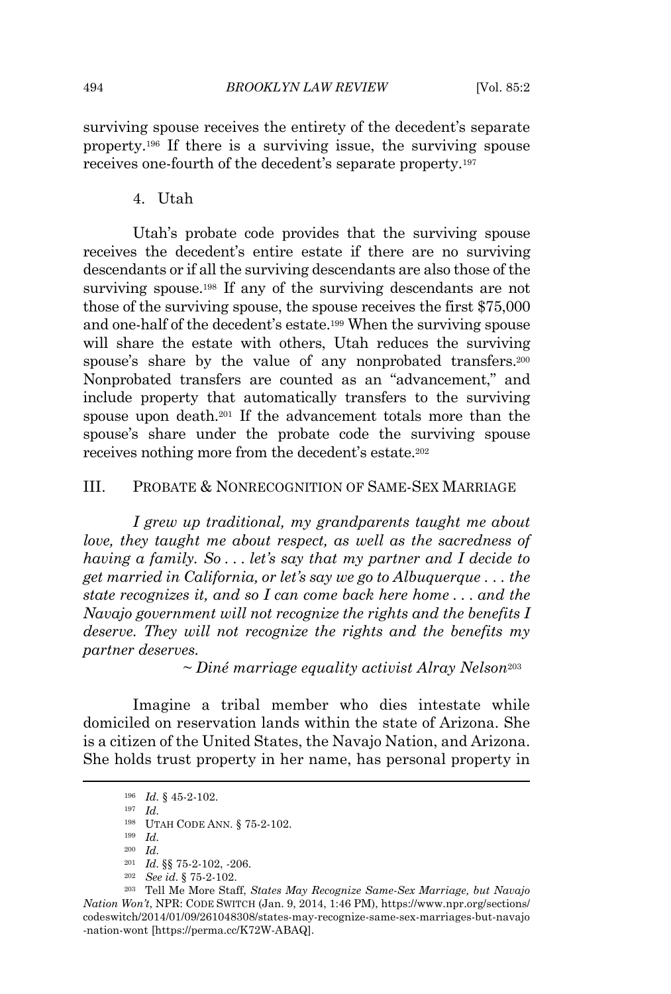surviving spouse receives the entirety of the decedent's separate property.<sup>196</sup> If there is a surviving issue, the surviving spouse receives one-fourth of the decedent's separate property.<sup>197</sup>

4. Utah

Utah's probate code provides that the surviving spouse receives the decedent's entire estate if there are no surviving descendants or if all the surviving descendants are also those of the surviving spouse.<sup>198</sup> If any of the surviving descendants are not those of the surviving spouse, the spouse receives the first \$75,000 and one-half of the decedent's estate.<sup>199</sup> When the surviving spouse will share the estate with others, Utah reduces the surviving spouse's share by the value of any nonprobated transfers. 200 Nonprobated transfers are counted as an "advancement," and include property that automatically transfers to the surviving spouse upon death.<sup>201</sup> If the advancement totals more than the spouse's share under the probate code the surviving spouse receives nothing more from the decedent's estate.<sup>202</sup>

#### III. PROBATE & NONRECOGNITION OF SAME-SEX MARRIAGE

*I grew up traditional, my grandparents taught me about love, they taught me about respect, as well as the sacredness of having a family. So . . . let's say that my partner and I decide to get married in California, or let's say we go to Albuquerque . . . the state recognizes it, and so I can come back here home . . . and the Navajo government will not recognize the rights and the benefits I deserve. They will not recognize the rights and the benefits my partner deserves.*

*~ Diné marriage equality activist Alray Nelson*<sup>203</sup>

Imagine a tribal member who dies intestate while domiciled on reservation lands within the state of Arizona. She is a citizen of the United States, the Navajo Nation, and Arizona. She holds trust property in her name, has personal property in

<sup>196</sup> *Id.* § 45-2-102.

<sup>197</sup> *Id.*

<sup>198</sup> UTAH CODE ANN. § 75-2-102.

<sup>199</sup> *Id.*

<sup>200</sup> *Id.*

<sup>201</sup> *Id.* §§ 75-2-102, -206.

<sup>202</sup> *See id.* § 75-2-102.

<sup>203</sup> Tell Me More Staff, *States May Recognize Same-Sex Marriage, but Navajo Nation Won't*, NPR: CODE SWITCH (Jan. 9, 2014, 1:46 PM), https://www.npr.org/sections/ codeswitch/2014/01/09/261048308/states-may-recognize-same-sex-marriages-but-navajo -nation-wont [https://perma.cc/K72W-ABAQ].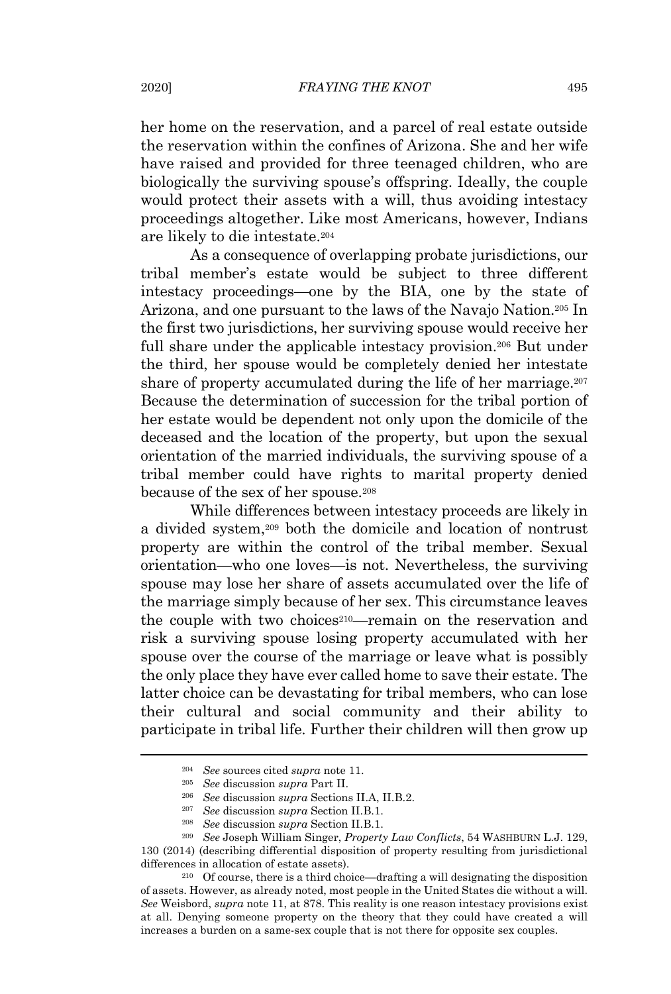her home on the reservation, and a parcel of real estate outside the reservation within the confines of Arizona. She and her wife have raised and provided for three teenaged children, who are biologically the surviving spouse's offspring. Ideally, the couple would protect their assets with a will, thus avoiding intestacy proceedings altogether. Like most Americans, however, Indians are likely to die intestate.<sup>204</sup>

As a consequence of overlapping probate jurisdictions, our tribal member's estate would be subject to three different intestacy proceedings—one by the BIA, one by the state of Arizona, and one pursuant to the laws of the Navajo Nation.<sup>205</sup> In the first two jurisdictions, her surviving spouse would receive her full share under the applicable intestacy provision. <sup>206</sup> But under the third, her spouse would be completely denied her intestate share of property accumulated during the life of her marriage.<sup>207</sup> Because the determination of succession for the tribal portion of her estate would be dependent not only upon the domicile of the deceased and the location of the property, but upon the sexual orientation of the married individuals, the surviving spouse of a tribal member could have rights to marital property denied because of the sex of her spouse. 208

While differences between intestacy proceeds are likely in a divided system,<sup>209</sup> both the domicile and location of nontrust property are within the control of the tribal member. Sexual orientation—who one loves—is not. Nevertheless, the surviving spouse may lose her share of assets accumulated over the life of the marriage simply because of her sex. This circumstance leaves the couple with two choices210—remain on the reservation and risk a surviving spouse losing property accumulated with her spouse over the course of the marriage or leave what is possibly the only place they have ever called home to save their estate. The latter choice can be devastating for tribal members, who can lose their cultural and social community and their ability to participate in tribal life. Further their children will then grow up

<sup>204</sup> *See* sources cited *supra* note 11.

<sup>205</sup> *See* discussion *supra* Part II.

<sup>206</sup> *See* discussion *supra* Sections II.A, II.B.2.

<sup>207</sup> *See* discussion *supra* Section II.B.1.

<sup>208</sup> *See* discussion *supra* Section II.B.1.

<sup>209</sup> *See* Joseph William Singer, *Property Law Conflicts*, 54 WASHBURN L.J. 129, 130 (2014) (describing differential disposition of property resulting from jurisdictional differences in allocation of estate assets).

<sup>210</sup> Of course, there is a third choice—drafting a will designating the disposition of assets. However, as already noted, most people in the United States die without a will. *See* Weisbord, *supra* note 11, at 878. This reality is one reason intestacy provisions exist at all. Denying someone property on the theory that they could have created a will increases a burden on a same-sex couple that is not there for opposite sex couples.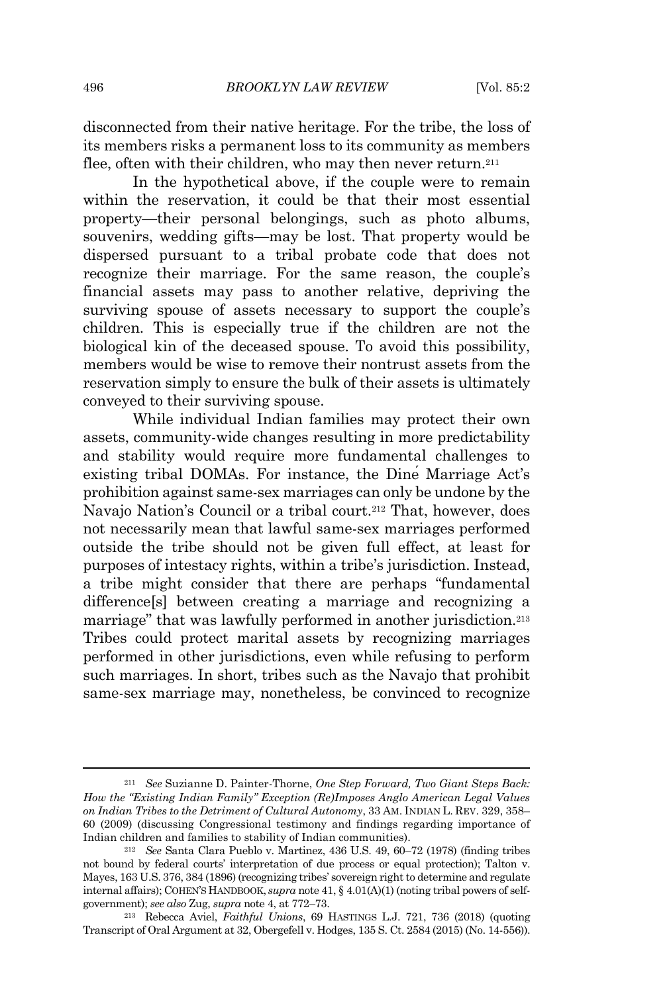disconnected from their native heritage. For the tribe, the loss of its members risks a permanent loss to its community as members flee, often with their children, who may then never return.<sup>211</sup>

In the hypothetical above, if the couple were to remain within the reservation, it could be that their most essential property—their personal belongings, such as photo albums, souvenirs, wedding gifts—may be lost. That property would be dispersed pursuant to a tribal probate code that does not recognize their marriage. For the same reason, the couple's financial assets may pass to another relative, depriving the surviving spouse of assets necessary to support the couple's children. This is especially true if the children are not the biological kin of the deceased spouse. To avoid this possibility, members would be wise to remove their nontrust assets from the reservation simply to ensure the bulk of their assets is ultimately conveyed to their surviving spouse.

While individual Indian families may protect their own assets, community-wide changes resulting in more predictability and stability would require more fundamental challenges to existing tribal DOMAs. For instance, the Dine Marriage Act's prohibition against same-sex marriages can only be undone by the Navajo Nation's Council or a tribal court.<sup>212</sup> That, however, does not necessarily mean that lawful same-sex marriages performed outside the tribe should not be given full effect, at least for purposes of intestacy rights, within a tribe's jurisdiction. Instead, a tribe might consider that there are perhaps "fundamental difference[s] between creating a marriage and recognizing a marriage" that was lawfully performed in another jurisdiction.<sup>213</sup> Tribes could protect marital assets by recognizing marriages performed in other jurisdictions, even while refusing to perform such marriages. In short, tribes such as the Navajo that prohibit same-sex marriage may, nonetheless, be convinced to recognize

<sup>211</sup> *See* Suzianne D. Painter-Thorne, *One Step Forward, Two Giant Steps Back: How the "Existing Indian Family" Exception (Re)Imposes Anglo American Legal Values on Indian Tribes to the Detriment of Cultural Autonomy*, 33 AM. INDIAN L. REV. 329, 358– 60 (2009) (discussing Congressional testimony and findings regarding importance of Indian children and families to stability of Indian communities).

<sup>212</sup> *See* Santa Clara Pueblo v. Martinez, 436 U.S. 49, 60–72 (1978) (finding tribes not bound by federal courts' interpretation of due process or equal protection); Talton v. Mayes, 163 U.S. 376, 384 (1896) (recognizing tribes' sovereign right to determine and regulate internal affairs); COHEN'S HANDBOOK, *supra* note 41, § 4.01(A)(1) (noting tribal powers of selfgovernment); *see also* Zug, *supra* note 4, at 772–73.

<sup>213</sup> Rebecca Aviel, *Faithful Unions*, 69 HASTINGS L.J. 721, 736 (2018) (quoting Transcript of Oral Argument at 32, Obergefell v. Hodges, 135 S. Ct. 2584 (2015) (No. 14-556)).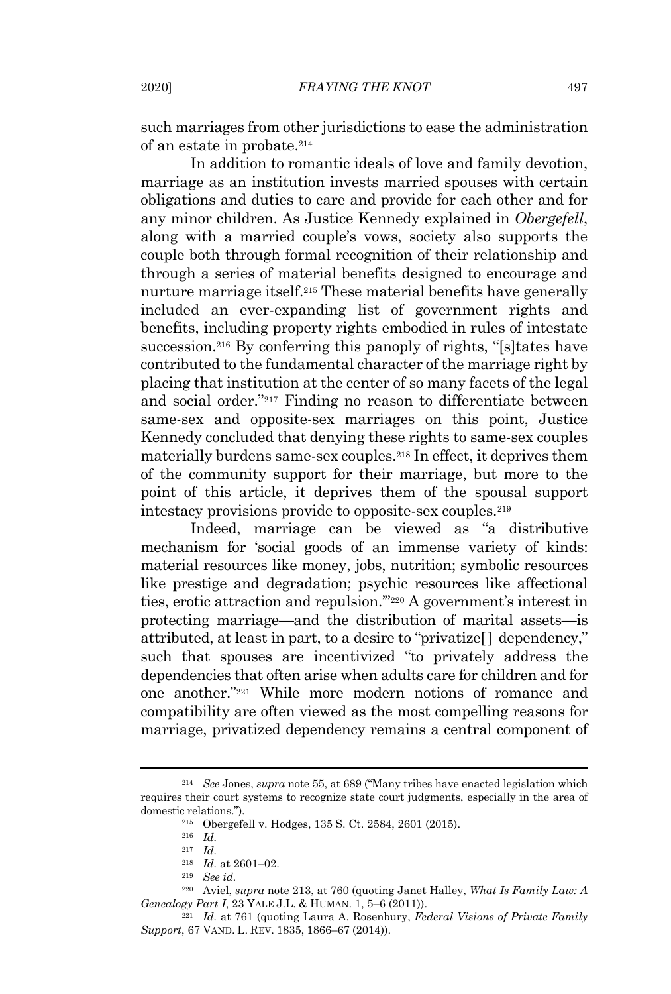such marriages from other jurisdictions to ease the administration of an estate in probate.<sup>214</sup>

In addition to romantic ideals of love and family devotion, marriage as an institution invests married spouses with certain obligations and duties to care and provide for each other and for any minor children. As Justice Kennedy explained in *Obergefell*, along with a married couple's vows, society also supports the couple both through formal recognition of their relationship and through a series of material benefits designed to encourage and nurture marriage itself.<sup>215</sup> These material benefits have generally included an ever-expanding list of government rights and benefits, including property rights embodied in rules of intestate succession. <sup>216</sup> By conferring this panoply of rights, "[s]tates have contributed to the fundamental character of the marriage right by placing that institution at the center of so many facets of the legal and social order." <sup>217</sup> Finding no reason to differentiate between same-sex and opposite-sex marriages on this point, Justice Kennedy concluded that denying these rights to same-sex couples materially burdens same-sex couples.<sup>218</sup> In effect, it deprives them of the community support for their marriage, but more to the point of this article, it deprives them of the spousal support intestacy provisions provide to opposite-sex couples.<sup>219</sup>

Indeed, marriage can be viewed as "a distributive mechanism for 'social goods of an immense variety of kinds: material resources like money, jobs, nutrition; symbolic resources like prestige and degradation; psychic resources like affectional ties, erotic attraction and repulsion.'" <sup>220</sup> A government's interest in protecting marriage—and the distribution of marital assets—is attributed, at least in part, to a desire to "privatize[] dependency," such that spouses are incentivized "to privately address the dependencies that often arise when adults care for children and for one another."<sup>221</sup> While more modern notions of romance and compatibility are often viewed as the most compelling reasons for marriage, privatized dependency remains a central component of

<sup>214</sup> *See* Jones, *supra* note 55, at 689 ("Many tribes have enacted legislation which requires their court systems to recognize state court judgments, especially in the area of domestic relations.").

<sup>215</sup> Obergefell v. Hodges, 135 S. Ct. 2584, 2601 (2015).

<sup>216</sup> *Id.*

<sup>217</sup> *Id.*

<sup>218</sup> *Id.* at 2601–02.

<sup>219</sup> *See id.*

<sup>220</sup> Aviel, *supra* note 213, at 760 (quoting Janet Halley, *What Is Family Law: A Genealogy Part I*, 23 YALE J.L. & HUMAN. 1, 5–6 (2011)).

<sup>221</sup> *Id.* at 761 (quoting Laura A. Rosenbury, *Federal Visions of Private Family Support*, 67 VAND. L. REV. 1835, 1866–67 (2014)).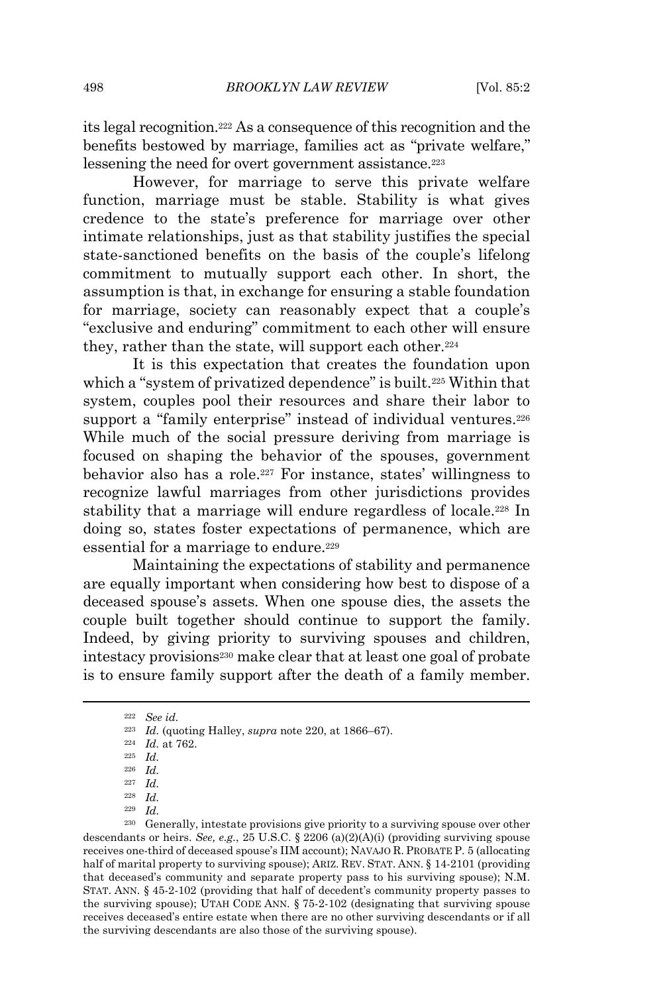its legal recognition. <sup>222</sup> As a consequence of this recognition and the benefits bestowed by marriage, families act as "private welfare," lessening the need for overt government assistance. 223

However, for marriage to serve this private welfare function, marriage must be stable. Stability is what gives credence to the state's preference for marriage over other intimate relationships, just as that stability justifies the special state-sanctioned benefits on the basis of the couple's lifelong commitment to mutually support each other. In short, the assumption is that, in exchange for ensuring a stable foundation for marriage, society can reasonably expect that a couple's "exclusive and enduring" commitment to each other will ensure they, rather than the state, will support each other.<sup>224</sup>

It is this expectation that creates the foundation upon which a "system of privatized dependence" is built.<sup>225</sup> Within that system, couples pool their resources and share their labor to support a "family enterprise" instead of individual ventures.<sup>226</sup> While much of the social pressure deriving from marriage is focused on shaping the behavior of the spouses, government behavior also has a role.<sup>227</sup> For instance, states' willingness to recognize lawful marriages from other jurisdictions provides stability that a marriage will endure regardless of locale.<sup>228</sup> In doing so, states foster expectations of permanence, which are essential for a marriage to endure.<sup>229</sup>

Maintaining the expectations of stability and permanence are equally important when considering how best to dispose of a deceased spouse's assets. When one spouse dies, the assets the couple built together should continue to support the family. Indeed, by giving priority to surviving spouses and children, intestacy provisions<sup>230</sup> make clear that at least one goal of probate is to ensure family support after the death of a family member.

<sup>229</sup> *Id.*

<sup>230</sup> Generally, intestate provisions give priority to a surviving spouse over other descendants or heirs. *See, e.g.*, 25 U.S.C. § 2206 (a)(2)(A)(i) (providing surviving spouse receives one-third of deceased spouse's IIM account); NAVAJO R. PROBATE P. 5 (allocating half of marital property to surviving spouse); ARIZ. REV. STAT. ANN. § 14-2101 (providing that deceased's community and separate property pass to his surviving spouse); N.M. STAT. ANN. § 45-2-102 (providing that half of decedent's community property passes to the surviving spouse); UTAH CODE ANN. § 75-2-102 (designating that surviving spouse receives deceased's entire estate when there are no other surviving descendants or if all the surviving descendants are also those of the surviving spouse).

<sup>222</sup> *See id.*

<sup>223</sup> *Id.* (quoting Halley, *supra* note 220, at 1866–67).

<sup>224</sup> *Id.* at 762.

<sup>225</sup> *Id.*

<sup>226</sup> *Id.*

<sup>227</sup> *Id.*

<sup>228</sup> *Id.*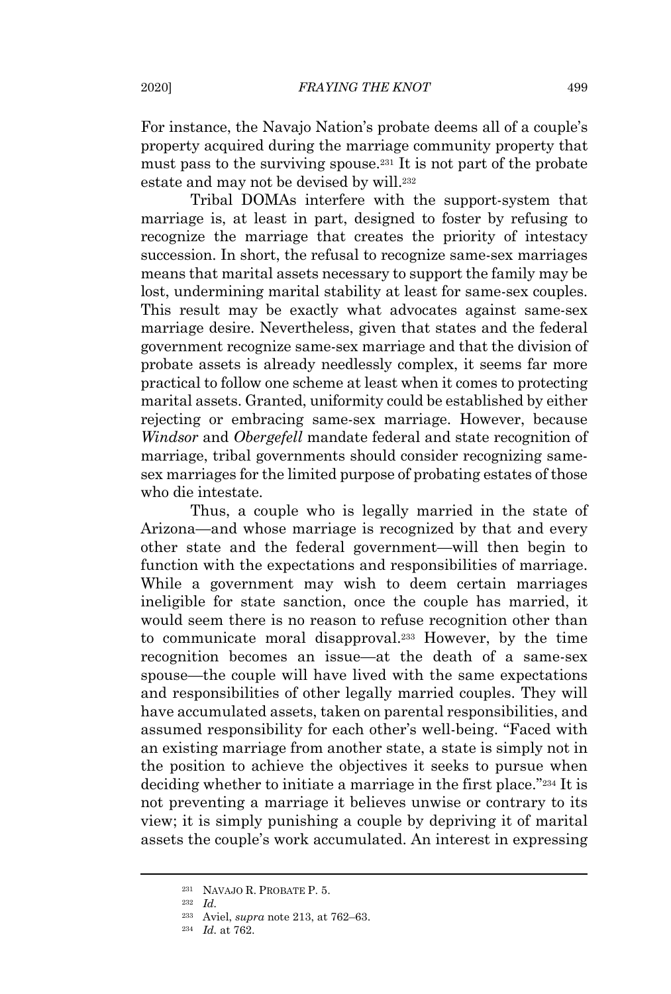For instance, the Navajo Nation's probate deems all of a couple's property acquired during the marriage community property that must pass to the surviving spouse.<sup>231</sup> It is not part of the probate estate and may not be devised by will.<sup>232</sup>

Tribal DOMAs interfere with the support-system that marriage is, at least in part, designed to foster by refusing to recognize the marriage that creates the priority of intestacy succession. In short, the refusal to recognize same-sex marriages means that marital assets necessary to support the family may be lost, undermining marital stability at least for same-sex couples. This result may be exactly what advocates against same-sex marriage desire. Nevertheless, given that states and the federal government recognize same-sex marriage and that the division of probate assets is already needlessly complex, it seems far more practical to follow one scheme at least when it comes to protecting marital assets. Granted, uniformity could be established by either rejecting or embracing same-sex marriage. However, because *Windsor* and *Obergefell* mandate federal and state recognition of marriage, tribal governments should consider recognizing samesex marriages for the limited purpose of probating estates of those who die intestate.

Thus, a couple who is legally married in the state of Arizona—and whose marriage is recognized by that and every other state and the federal government—will then begin to function with the expectations and responsibilities of marriage. While a government may wish to deem certain marriages ineligible for state sanction, once the couple has married, it would seem there is no reason to refuse recognition other than to communicate moral disapproval.<sup>233</sup> However, by the time recognition becomes an issue—at the death of a same-sex spouse—the couple will have lived with the same expectations and responsibilities of other legally married couples. They will have accumulated assets, taken on parental responsibilities, and assumed responsibility for each other's well-being. "Faced with an existing marriage from another state, a state is simply not in the position to achieve the objectives it seeks to pursue when deciding whether to initiate a marriage in the first place."<sup>234</sup> It is not preventing a marriage it believes unwise or contrary to its view; it is simply punishing a couple by depriving it of marital assets the couple's work accumulated. An interest in expressing

<sup>231</sup> NAVAJO R. PROBATE P. 5.

<sup>232</sup> *Id.*

<sup>233</sup> Aviel, *supra* note 213, at 762–63.

<sup>234</sup> *Id.* at 762.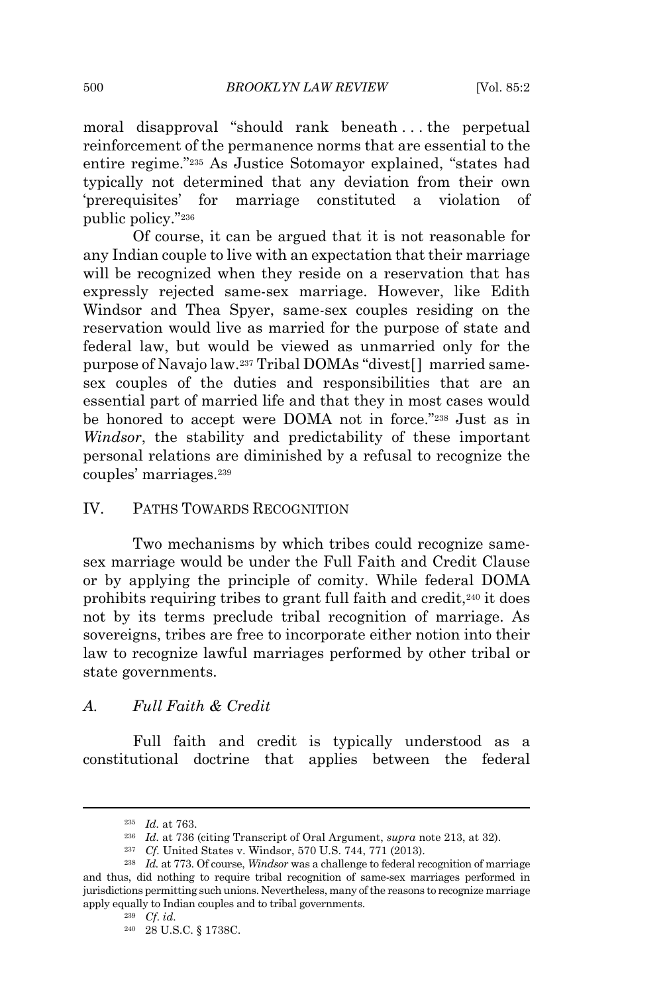moral disapproval "should rank beneath . . . the perpetual reinforcement of the permanence norms that are essential to the entire regime."<sup>235</sup> As Justice Sotomayor explained, "states had typically not determined that any deviation from their own 'prerequisites' for marriage constituted a violation of public policy."<sup>236</sup>

Of course, it can be argued that it is not reasonable for any Indian couple to live with an expectation that their marriage will be recognized when they reside on a reservation that has expressly rejected same-sex marriage. However, like Edith Windsor and Thea Spyer, same-sex couples residing on the reservation would live as married for the purpose of state and federal law, but would be viewed as unmarried only for the purpose of Navajo law.<sup>237</sup> Tribal DOMAs "divest[ ] married samesex couples of the duties and responsibilities that are an essential part of married life and that they in most cases would be honored to accept were DOMA not in force."<sup>238</sup> Just as in *Windsor*, the stability and predictability of these important personal relations are diminished by a refusal to recognize the couples' marriages.<sup>239</sup>

#### IV. PATHS TOWARDS RECOGNITION

Two mechanisms by which tribes could recognize samesex marriage would be under the Full Faith and Credit Clause or by applying the principle of comity. While federal DOMA prohibits requiring tribes to grant full faith and credit, <sup>240</sup> it does not by its terms preclude tribal recognition of marriage. As sovereigns, tribes are free to incorporate either notion into their law to recognize lawful marriages performed by other tribal or state governments.

#### *A. Full Faith & Credit*

Full faith and credit is typically understood as a constitutional doctrine that applies between the federal

<sup>235</sup> *Id.* at 763.

<sup>236</sup> *Id.* at 736 (citing Transcript of Oral Argument, *supra* note 213, at 32).

<sup>237</sup> *Cf.* United States v. Windsor, 570 U.S. 744, 771 (2013).

<sup>238</sup> *Id.* at 773. Of course, *Windsor* was a challenge to federal recognition of marriage and thus, did nothing to require tribal recognition of same-sex marriages performed in jurisdictions permitting such unions. Nevertheless, many ofthe reasons to recognize marriage apply equally to Indian couples and to tribal governments.

<sup>239</sup> *Cf*. *id.*

<sup>240</sup> 28 U.S.C. § 1738C.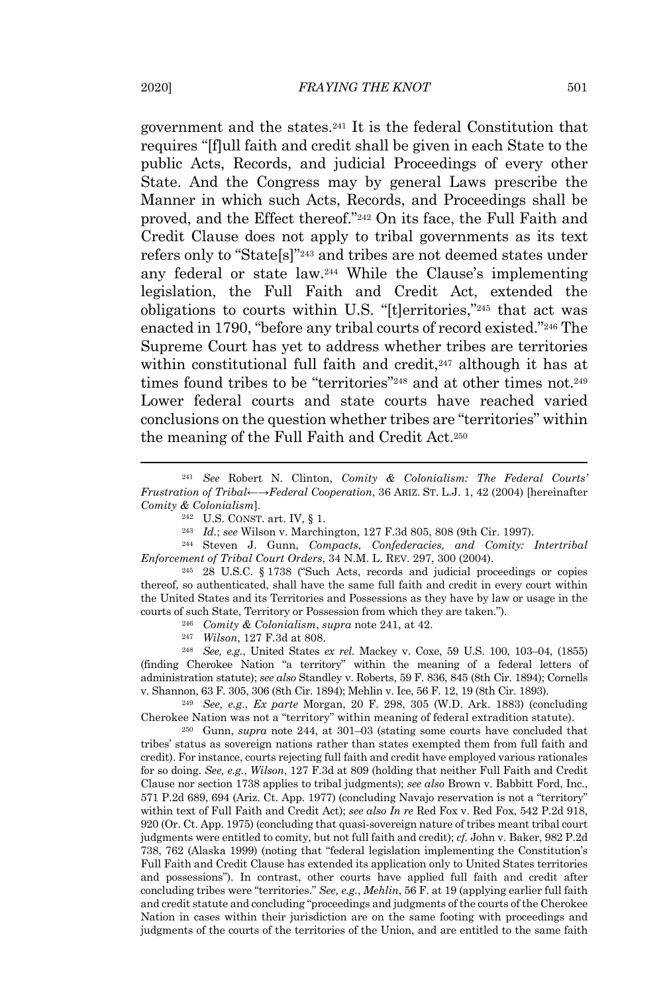government and the states. <sup>241</sup> It is the federal Constitution that requires "[f]ull faith and credit shall be given in each State to the public Acts, Records, and judicial Proceedings of every other State. And the Congress may by general Laws prescribe the Manner in which such Acts, Records, and Proceedings shall be proved, and the Effect thereof."<sup>242</sup> On its face, the Full Faith and Credit Clause does not apply to tribal governments as its text refers only to "State[s]"<sup>243</sup> and tribes are not deemed states under any federal or state law.<sup>244</sup> While the Clause's implementing legislation, the Full Faith and Credit Act, extended the obligations to courts within U.S. "[t]erritories," <sup>245</sup> that act was enacted in 1790, "before any tribal courts of record existed." <sup>246</sup> The Supreme Court has yet to address whether tribes are territories within constitutional full faith and credit,<sup>247</sup> although it has at times found tribes to be "territories"<sup>248</sup> and at other times not.<sup>249</sup> Lower federal courts and state courts have reached varied conclusions on the question whether tribes are "territories" within the meaning of the Full Faith and Credit Act.<sup>250</sup>

<sup>245</sup> 28 U.S.C. § 1738 ("Such Acts, records and judicial proceedings or copies thereof, so authenticated, shall have the same full faith and credit in every court within the United States and its Territories and Possessions as they have by law or usage in the courts of such State, Territory or Possession from which they are taken.").

<sup>246</sup> *Comity & Colonialism*, *supra* note 241, at 42.

<sup>247</sup> *Wilson*, 127 F.3d at 808.

<sup>248</sup> *See, e.g.*, United States *ex rel.* Mackey v. Coxe, 59 U.S. 100, 103–04, (1855) (finding Cherokee Nation "a territory" within the meaning of a federal letters of administration statute); *see also* Standley v. Roberts, 59 F. 836, 845 (8th Cir. 1894); Cornells v. Shannon, 63 F. 305, 306 (8th Cir. 1894); Mehlin v. Ice, 56 F. 12, 19 (8th Cir. 1893).

<sup>249</sup> *See, e.g*., *Ex parte* Morgan, 20 F. 298, 305 (W.D. Ark. 1883) (concluding Cherokee Nation was not a "territory" within meaning of federal extradition statute).

<sup>250</sup> Gunn, *supra* note 244, at 301–03 (stating some courts have concluded that tribes' status as sovereign nations rather than states exempted them from full faith and credit). For instance, courts rejecting full faith and credit have employed various rationales for so doing. *See, e.g.*, *Wilson*, 127 F.3d at 809 (holding that neither Full Faith and Credit Clause nor section 1738 applies to tribal judgments); *see also* Brown v. Babbitt Ford, Inc., 571 P.2d 689, 694 (Ariz. Ct. App. 1977) (concluding Navajo reservation is not a "territory" within text of Full Faith and Credit Act); *see also In re* Red Fox v. Red Fox, 542 P.2d 918, 920 (Or. Ct. App. 1975) (concluding that quasi-sovereign nature of tribes meant tribal court judgments were entitled to comity, but not full faith and credit); *cf.* John v. Baker, 982 P.2d 738, 762 (Alaska 1999) (noting that "federal legislation implementing the Constitution's Full Faith and Credit Clause has extended its application only to United States territories and possessions"). In contrast, other courts have applied full faith and credit after concluding tribes were "territories." *See, e.g.*, *Mehlin*, 56 F. at 19 (applying earlier full faith and credit statute and concluding "proceedings and judgments of the courts of the Cherokee Nation in cases within their jurisdiction are on the same footing with proceedings and judgments of the courts of the territories of the Union, and are entitled to the same faith

<sup>241</sup> *See* Robert N. Clinton, *Comity & Colonialism: The Federal Courts' Frustration of Tribal←→Federal Cooperation*, 36 ARIZ. ST. L.J. 1, 42 (2004) [hereinafter *Comity & Colonialism*].

<sup>242</sup> U.S. CONST. art. IV, § 1.

<sup>243</sup> *Id.*; *see* Wilson v. Marchington, 127 F.3d 805, 808 (9th Cir. 1997).

<sup>244</sup> Steven J. Gunn, *Compacts, Confederacies, and Comity: Intertribal Enforcement of Tribal Court Orders*, 34 N.M. L. REV. 297, 300 (2004).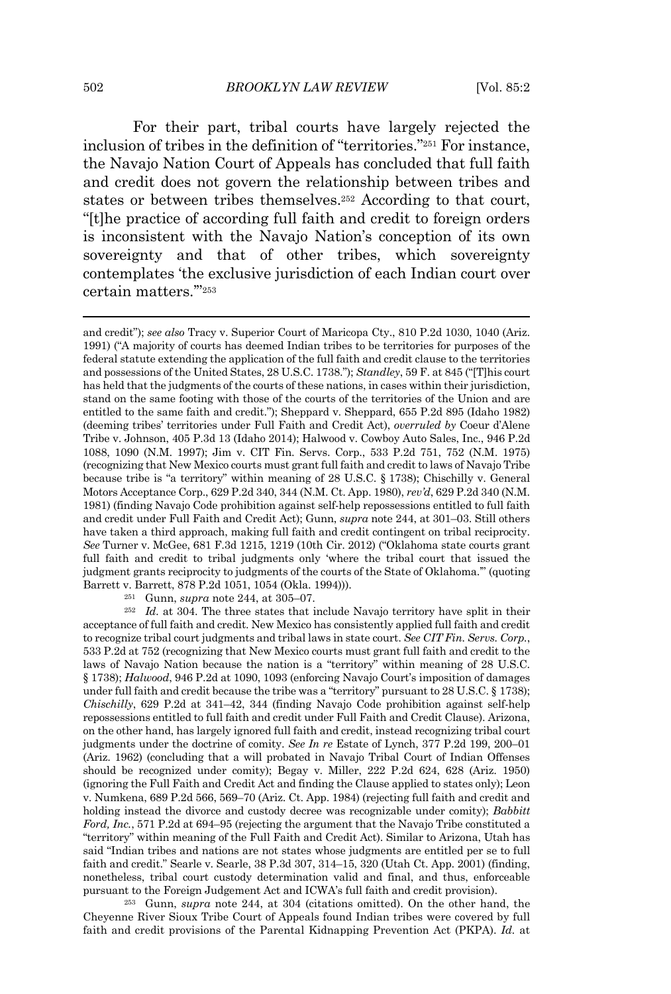For their part, tribal courts have largely rejected the inclusion of tribes in the definition of "territories." <sup>251</sup> For instance, the Navajo Nation Court of Appeals has concluded that full faith and credit does not govern the relationship between tribes and states or between tribes themselves.<sup>252</sup> According to that court, "[t]he practice of according full faith and credit to foreign orders is inconsistent with the Navajo Nation's conception of its own sovereignty and that of other tribes, which sovereignty contemplates 'the exclusive jurisdiction of each Indian court over certain matters.'" 253

<sup>251</sup> Gunn, *supra* note 244, at 305–07.

<sup>252</sup> *Id.* at 304. The three states that include Navajo territory have split in their acceptance of full faith and credit. New Mexico has consistently applied full faith and credit to recognize tribal court judgments and tribal laws in state court. *See CIT Fin. Servs. Corp.*, 533 P.2d at 752 (recognizing that New Mexico courts must grant full faith and credit to the laws of Navajo Nation because the nation is a "territory" within meaning of 28 U.S.C. § 1738); *Halwood*, 946 P.2d at 1090, 1093 (enforcing Navajo Court's imposition of damages under full faith and credit because the tribe was a "territory" pursuant to 28 U.S.C. § 1738); *Chischilly*, 629 P.2d at 341–42, 344 (finding Navajo Code prohibition against self-help repossessions entitled to full faith and credit under Full Faith and Credit Clause). Arizona, on the other hand, has largely ignored full faith and credit, instead recognizing tribal court judgments under the doctrine of comity. *See In re* Estate of Lynch, 377 P.2d 199, 200–01 (Ariz. 1962) (concluding that a will probated in Navajo Tribal Court of Indian Offenses should be recognized under comity); Begay v. Miller, 222 P.2d 624, 628 (Ariz. 1950) (ignoring the Full Faith and Credit Act and finding the Clause applied to states only); Leon v. Numkena, 689 P.2d 566, 569–70 (Ariz. Ct. App. 1984) (rejecting full faith and credit and holding instead the divorce and custody decree was recognizable under comity); *Babbitt Ford, Inc.*, 571 P.2d at 694–95 (rejecting the argument that the Navajo Tribe constituted a "territory" within meaning of the Full Faith and Credit Act). Similar to Arizona, Utah has said "Indian tribes and nations are not states whose judgments are entitled per se to full faith and credit." Searle v. Searle, 38 P.3d 307, 314–15, 320 (Utah Ct. App. 2001) (finding, nonetheless, tribal court custody determination valid and final, and thus, enforceable pursuant to the Foreign Judgement Act and ICWA's full faith and credit provision).

<sup>253</sup> Gunn, *supra* note 244, at 304 (citations omitted). On the other hand, the Cheyenne River Sioux Tribe Court of Appeals found Indian tribes were covered by full faith and credit provisions of the Parental Kidnapping Prevention Act (PKPA). *Id.* at

and credit"); *see also* Tracy v. Superior Court of Maricopa Cty., 810 P.2d 1030, 1040 (Ariz. 1991) ("A majority of courts has deemed Indian tribes to be territories for purposes of the federal statute extending the application of the full faith and credit clause to the territories and possessions of the United States, 28 U.S.C. 1738."); *Standley*, 59 F. at 845 ("[T]his court has held that the judgments of the courts of these nations, in cases within their jurisdiction, stand on the same footing with those of the courts of the territories of the Union and are entitled to the same faith and credit."); Sheppard v. Sheppard, 655 P.2d 895 (Idaho 1982) (deeming tribes' territories under Full Faith and Credit Act), *overruled by* Coeur d'Alene Tribe v. Johnson, 405 P.3d 13 (Idaho 2014); Halwood v. Cowboy Auto Sales, Inc., 946 P.2d 1088, 1090 (N.M. 1997); Jim v. CIT Fin. Servs. Corp., 533 P.2d 751, 752 (N.M. 1975) (recognizing that New Mexico courts must grant full faith and credit to laws of Navajo Tribe because tribe is "a territory" within meaning of 28 U.S.C. § 1738); Chischilly v. General Motors Acceptance Corp., 629 P.2d 340, 344 (N.M. Ct. App. 1980), *rev'd*, 629 P.2d 340 (N.M. 1981) (finding Navajo Code prohibition against self-help repossessions entitled to full faith and credit under Full Faith and Credit Act); Gunn, *supra* note 244, at 301–03. Still others have taken a third approach, making full faith and credit contingent on tribal reciprocity. *See* Turner v. McGee, 681 F.3d 1215, 1219 (10th Cir. 2012) ("Oklahoma state courts grant full faith and credit to tribal judgments only 'where the tribal court that issued the judgment grants reciprocity to judgments of the courts of the State of Oklahoma.'" (quoting Barrett v. Barrett, 878 P.2d 1051, 1054 (Okla. 1994))).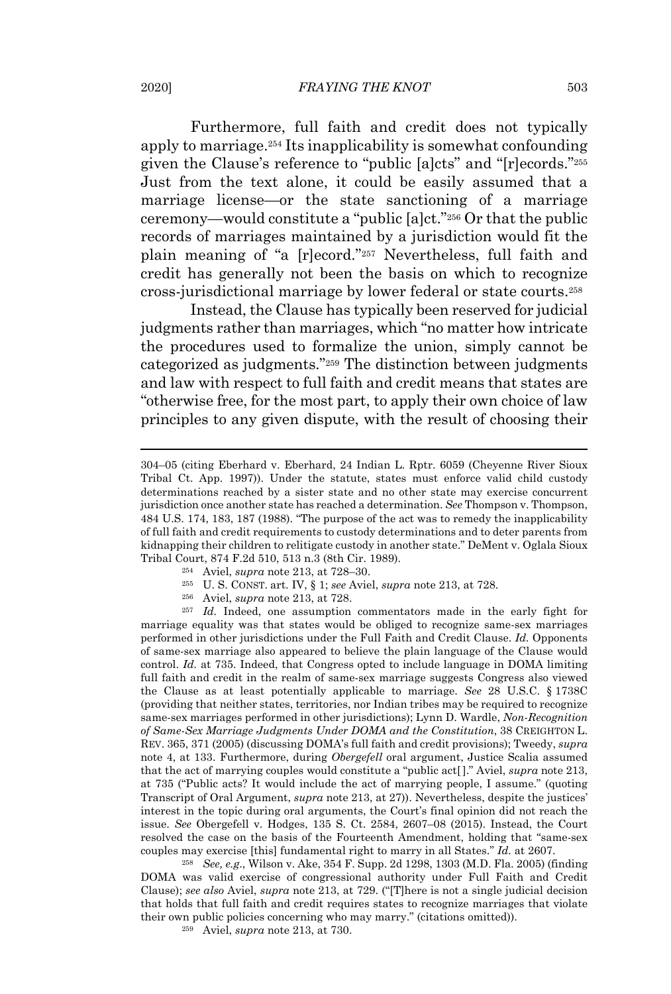Furthermore, full faith and credit does not typically apply to marriage.<sup>254</sup> Its inapplicability is somewhat confounding given the Clause's reference to "public [a]cts" and "[r]ecords." 255 Just from the text alone, it could be easily assumed that a marriage license—or the state sanctioning of a marriage ceremony—would constitute a "public [a]ct."<sup>256</sup> Or that the public records of marriages maintained by a jurisdiction would fit the plain meaning of "a [r]ecord."<sup>257</sup> Nevertheless, full faith and credit has generally not been the basis on which to recognize cross-jurisdictional marriage by lower federal or state courts.<sup>258</sup>

Instead, the Clause has typically been reserved for judicial judgments rather than marriages, which "no matter how intricate the procedures used to formalize the union, simply cannot be categorized as judgments." <sup>259</sup> The distinction between judgments and law with respect to full faith and credit means that states are "otherwise free, for the most part, to apply their own choice of law principles to any given dispute, with the result of choosing their

- <sup>254</sup> Aviel, *supra* note 213, at 728–30.
	- <sup>255</sup> U. S. CONST. art. IV, § 1; *see* Aviel, *supra* note 213, at 728.
	- <sup>256</sup> Aviel, *supra* note 213, at 728.

<sup>257</sup> *Id.* Indeed, one assumption commentators made in the early fight for marriage equality was that states would be obliged to recognize same-sex marriages performed in other jurisdictions under the Full Faith and Credit Clause. *Id.* Opponents of same-sex marriage also appeared to believe the plain language of the Clause would control. *Id.* at 735. Indeed, that Congress opted to include language in DOMA limiting full faith and credit in the realm of same-sex marriage suggests Congress also viewed the Clause as at least potentially applicable to marriage. *See* 28 U.S.C. § 1738C (providing that neither states, territories, nor Indian tribes may be required to recognize same-sex marriages performed in other jurisdictions); Lynn D. Wardle, *Non-Recognition of Same-Sex Marriage Judgments Under DOMA and the Constitution*, 38 CREIGHTON L. REV. 365, 371 (2005) (discussing DOMA's full faith and credit provisions); Tweedy, *supra* note 4, at 133. Furthermore, during *Obergefell* oral argument, Justice Scalia assumed that the act of marrying couples would constitute a "public act[ ]." Aviel, *supra* note 213, at 735 ("Public acts? It would include the act of marrying people, I assume." (quoting Transcript of Oral Argument, *supra* note 213, at 27)). Nevertheless, despite the justices' interest in the topic during oral arguments, the Court's final opinion did not reach the issue. *See* Obergefell v. Hodges, 135 S. Ct. 2584, 2607–08 (2015). Instead, the Court resolved the case on the basis of the Fourteenth Amendment, holding that "same-sex couples may exercise [this] fundamental right to marry in all States." *Id.* at 2607.

<sup>258</sup> *See, e.g*., Wilson v. Ake, 354 F. Supp. 2d 1298, 1303 (M.D. Fla. 2005) (finding DOMA was valid exercise of congressional authority under Full Faith and Credit Clause); *see also* Aviel, *supra* note 213, at 729. ("[T]here is not a single judicial decision that holds that full faith and credit requires states to recognize marriages that violate their own public policies concerning who may marry." (citations omitted)).

<sup>259</sup> Aviel, *supra* note 213, at 730.

<sup>304–05</sup> (citing Eberhard v. Eberhard, 24 Indian L. Rptr. 6059 (Cheyenne River Sioux Tribal Ct. App. 1997)). Under the statute, states must enforce valid child custody determinations reached by a sister state and no other state may exercise concurrent jurisdiction once another state has reached a determination. *See* Thompson v. Thompson, 484 U.S. 174, 183, 187 (1988). "The purpose of the act was to remedy the inapplicability of full faith and credit requirements to custody determinations and to deter parents from kidnapping their children to relitigate custody in another state." DeMent v. Oglala Sioux Tribal Court, 874 F.2d 510, 513 n.3 (8th Cir. 1989).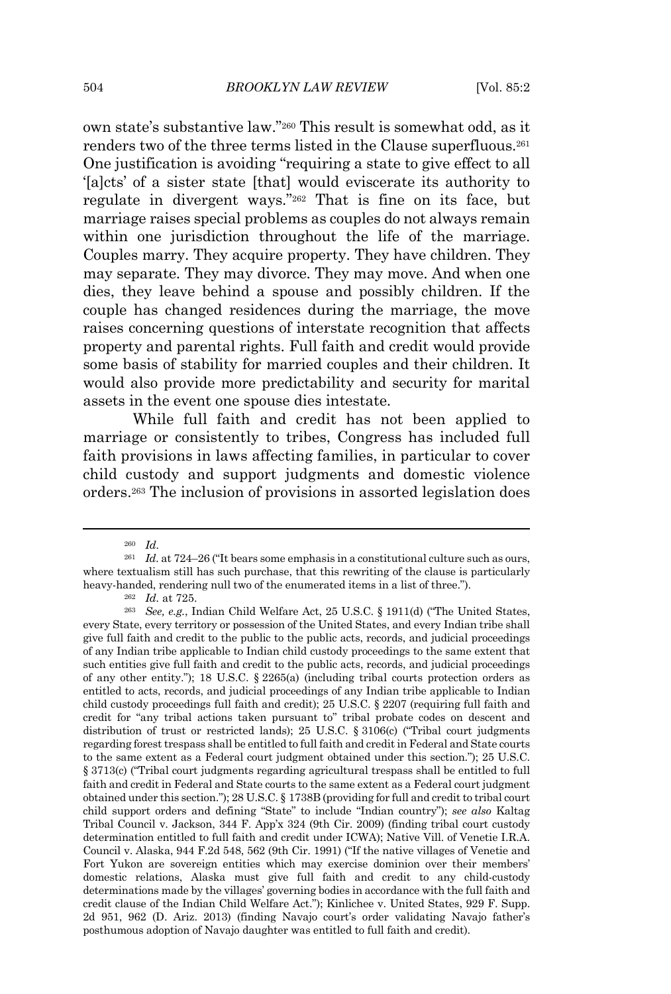own state's substantive law." <sup>260</sup> This result is somewhat odd, as it renders two of the three terms listed in the Clause superfluous.<sup>261</sup> One justification is avoiding "requiring a state to give effect to all '[a]cts' of a sister state [that] would eviscerate its authority to regulate in divergent ways."<sup>262</sup> That is fine on its face, but marriage raises special problems as couples do not always remain within one jurisdiction throughout the life of the marriage. Couples marry. They acquire property. They have children. They may separate. They may divorce. They may move. And when one dies, they leave behind a spouse and possibly children. If the couple has changed residences during the marriage, the move raises concerning questions of interstate recognition that affects property and parental rights. Full faith and credit would provide some basis of stability for married couples and their children. It would also provide more predictability and security for marital assets in the event one spouse dies intestate.

While full faith and credit has not been applied to marriage or consistently to tribes, Congress has included full faith provisions in laws affecting families, in particular to cover child custody and support judgments and domestic violence orders.<sup>263</sup> The inclusion of provisions in assorted legislation does

<sup>260</sup> *Id.*

<sup>&</sup>lt;sup>261</sup> *Id.* at 724–26 ("It bears some emphasis in a constitutional culture such as ours, where textualism still has such purchase, that this rewriting of the clause is particularly heavy-handed, rendering null two of the enumerated items in a list of three.").

<sup>262</sup> *Id.* at 725.

<sup>263</sup> *See, e.g.*, Indian Child Welfare Act, 25 U.S.C. § 1911(d) ("The United States, every State, every territory or possession of the United States, and every Indian tribe shall give full faith and credit to the public to the public acts, records, and judicial proceedings of any Indian tribe applicable to Indian child custody proceedings to the same extent that such entities give full faith and credit to the public acts, records, and judicial proceedings of any other entity."); 18 U.S.C. § 2265(a) (including tribal courts protection orders as entitled to acts, records, and judicial proceedings of any Indian tribe applicable to Indian child custody proceedings full faith and credit); 25 U.S.C. § 2207 (requiring full faith and credit for "any tribal actions taken pursuant to" tribal probate codes on descent and distribution of trust or restricted lands); 25 U.S.C. § 3106(c) ("Tribal court judgments regarding forest trespass shall be entitled to full faith and creditin Federal and State courts to the same extent as a Federal court judgment obtained under this section."); 25 U.S.C. § 3713(c) ("Tribal court judgments regarding agricultural trespass shall be entitled to full faith and credit in Federal and State courts to the same extent as a Federal court judgment obtained under this section."); 28 U.S.C. § 1738B (providing for full and credit to tribal court child support orders and defining "State" to include "Indian country"); *see also* Kaltag Tribal Council v. Jackson, 344 F. App'x 324 (9th Cir. 2009) (finding tribal court custody determination entitled to full faith and credit under ICWA); Native Vill. of Venetie I.R.A. Council v. Alaska, 944 F.2d 548, 562 (9th Cir. 1991) ("If the native villages of Venetie and Fort Yukon are sovereign entities which may exercise dominion over their members' domestic relations, Alaska must give full faith and credit to any child-custody determinations made by the villages' governing bodies in accordance with the full faith and credit clause of the Indian Child Welfare Act."); Kinlichee v. United States, 929 F. Supp. 2d 951, 962 (D. Ariz. 2013) (finding Navajo court's order validating Navajo father's posthumous adoption of Navajo daughter was entitled to full faith and credit).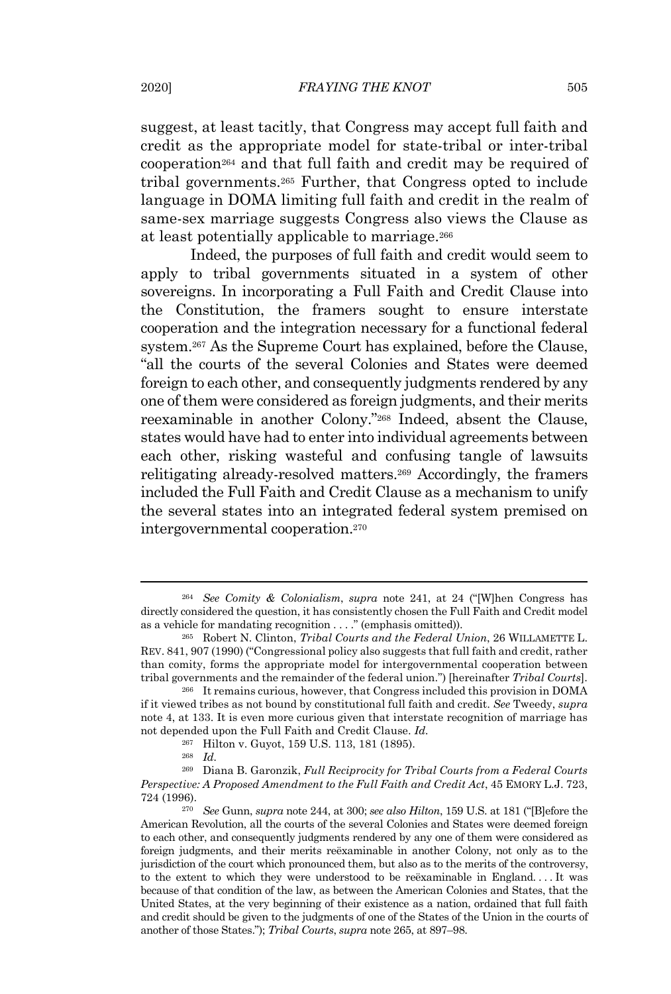suggest, at least tacitly, that Congress may accept full faith and credit as the appropriate model for state-tribal or inter-tribal cooperation<sup>264</sup> and that full faith and credit may be required of tribal governments.<sup>265</sup> Further, that Congress opted to include language in DOMA limiting full faith and credit in the realm of same-sex marriage suggests Congress also views the Clause as at least potentially applicable to marriage.<sup>266</sup>

Indeed, the purposes of full faith and credit would seem to apply to tribal governments situated in a system of other sovereigns. In incorporating a Full Faith and Credit Clause into the Constitution, the framers sought to ensure interstate cooperation and the integration necessary for a functional federal system.<sup>267</sup> As the Supreme Court has explained, before the Clause, "all the courts of the several Colonies and States were deemed foreign to each other, and consequently judgments rendered by any one ofthem were considered as foreign judgments, and their merits reexaminable in another Colony."<sup>268</sup> Indeed, absent the Clause, states would have had to enter into individual agreements between each other, risking wasteful and confusing tangle of lawsuits relitigating already-resolved matters.<sup>269</sup> Accordingly, the framers included the Full Faith and Credit Clause as a mechanism to unify the several states into an integrated federal system premised on intergovernmental cooperation.<sup>270</sup>

<sup>264</sup> *See Comity & Colonialism*, *supra* note 241, at 24 ("[W]hen Congress has directly considered the question, it has consistently chosen the Full Faith and Credit model as a vehicle for mandating recognition . . . ." (emphasis omitted)).

<sup>265</sup> Robert N. Clinton, *Tribal Courts and the Federal Union*, 26 WILLAMETTE L. REV. 841, 907 (1990) ("Congressional policy also suggests that full faith and credit, rather than comity, forms the appropriate model for intergovernmental cooperation between tribal governments and the remainder of the federal union.") [hereinafter *Tribal Courts*].

<sup>266</sup> It remains curious, however, that Congress included this provision in DOMA if it viewed tribes as not bound by constitutional full faith and credit. *See* Tweedy, *supra* note 4, at 133. It is even more curious given that interstate recognition of marriage has not depended upon the Full Faith and Credit Clause. *Id.*

<sup>267</sup> Hilton v. Guyot, 159 U.S. 113, 181 (1895).

<sup>268</sup> *Id.*

<sup>269</sup> Diana B. Garonzik, *Full Reciprocity for Tribal Courts from a Federal Courts Perspective: A Proposed Amendment to the Full Faith and Credit Act*, 45 EMORY L.J. 723, 724 (1996).

<sup>270</sup> *See* Gunn, *supra* note 244, at 300; *see also Hilton*, 159 U.S. at 181 ("[B]efore the American Revolution, all the courts of the several Colonies and States were deemed foreign to each other, and consequently judgments rendered by any one of them were considered as foreign judgments, and their merits reëxaminable in another Colony, not only as to the jurisdiction of the court which pronounced them, but also as to the merits of the controversy, to the extent to which they were understood to be reëxaminable in England. . . . It was because of that condition of the law, as between the American Colonies and States, that the United States, at the very beginning of their existence as a nation, ordained that full faith and credit should be given to the judgments of one of the States of the Union in the courts of another of those States."); *Tribal Courts*, *supra* note 265, at 897–98.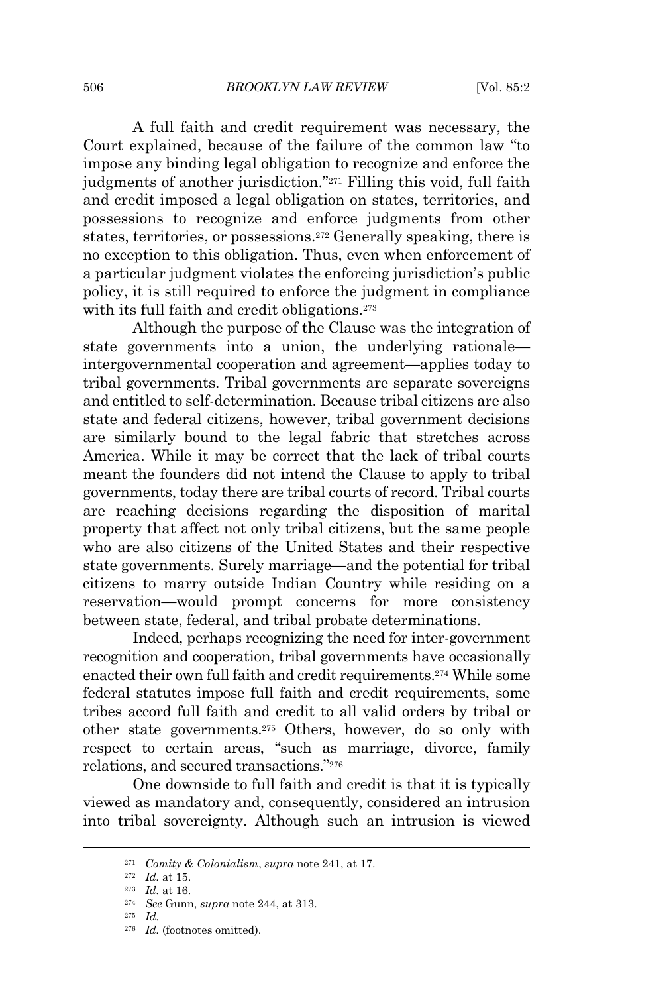A full faith and credit requirement was necessary, the Court explained, because of the failure of the common law "to impose any binding legal obligation to recognize and enforce the judgments of another jurisdiction."<sup>271</sup> Filling this void, full faith and credit imposed a legal obligation on states, territories, and possessions to recognize and enforce judgments from other states, territories, or possessions.<sup>272</sup> Generally speaking, there is no exception to this obligation. Thus, even when enforcement of a particular judgment violates the enforcing jurisdiction's public policy, it is still required to enforce the judgment in compliance with its full faith and credit obligations.<sup>273</sup>

Although the purpose of the Clause was the integration of state governments into a union, the underlying rationale intergovernmental cooperation and agreement—applies today to tribal governments. Tribal governments are separate sovereigns and entitled to self-determination. Because tribal citizens are also state and federal citizens, however, tribal government decisions are similarly bound to the legal fabric that stretches across America. While it may be correct that the lack of tribal courts meant the founders did not intend the Clause to apply to tribal governments, today there are tribal courts of record. Tribal courts are reaching decisions regarding the disposition of marital property that affect not only tribal citizens, but the same people who are also citizens of the United States and their respective state governments. Surely marriage—and the potential for tribal citizens to marry outside Indian Country while residing on a reservation—would prompt concerns for more consistency between state, federal, and tribal probate determinations.

Indeed, perhaps recognizing the need for inter-government recognition and cooperation, tribal governments have occasionally enacted their own full faith and credit requirements.<sup>274</sup> While some federal statutes impose full faith and credit requirements, some tribes accord full faith and credit to all valid orders by tribal or other state governments. <sup>275</sup> Others, however, do so only with respect to certain areas, "such as marriage, divorce, family relations, and secured transactions."<sup>276</sup>

One downside to full faith and credit is that it is typically viewed as mandatory and, consequently, considered an intrusion into tribal sovereignty. Although such an intrusion is viewed

<sup>271</sup> *Comity & Colonialism*, *supra* note 241, at 17.

<sup>272</sup> *Id.* at 15.

<sup>273</sup> *Id.* at 16.

<sup>274</sup> *See* Gunn, *supra* note 244, at 313.

<sup>275</sup> *Id.*

<sup>&</sup>lt;sup>276</sup> *Id.* (footnotes omitted).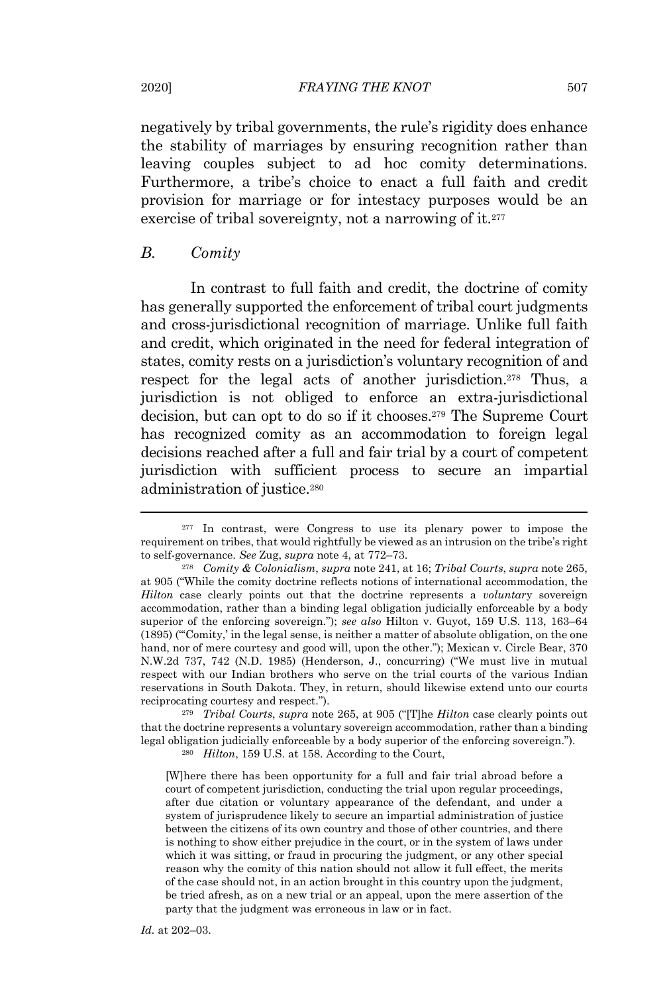negatively by tribal governments, the rule's rigidity does enhance the stability of marriages by ensuring recognition rather than leaving couples subject to ad hoc comity determinations. Furthermore, a tribe's choice to enact a full faith and credit provision for marriage or for intestacy purposes would be an exercise of tribal sovereignty, not a narrowing of it.<sup>277</sup>

#### *B. Comity*

In contrast to full faith and credit, the doctrine of comity has generally supported the enforcement of tribal court judgments and cross-jurisdictional recognition of marriage. Unlike full faith and credit, which originated in the need for federal integration of states, comity rests on a jurisdiction's voluntary recognition of and respect for the legal acts of another jurisdiction.<sup>278</sup> Thus, a jurisdiction is not obliged to enforce an extra-jurisdictional decision, but can opt to do so if it chooses.<sup>279</sup> The Supreme Court has recognized comity as an accommodation to foreign legal decisions reached after a full and fair trial by a court of competent jurisdiction with sufficient process to secure an impartial administration of justice. 280

<sup>280</sup> *Hilton*, 159 U.S. at 158. According to the Court,

<sup>277</sup> In contrast, were Congress to use its plenary power to impose the requirement on tribes, that would rightfully be viewed as an intrusion on the tribe's right to self-governance. *See* Zug, *supra* note 4, at 772–73.

<sup>278</sup> *Comity & Colonialism*, *supra* note 241, at 16; *Tribal Courts*, *supra* note 265, at 905 ("While the comity doctrine reflects notions of international accommodation, the *Hilton* case clearly points out that the doctrine represents a *voluntar*y sovereign accommodation, rather than a binding legal obligation judicially enforceable by a body superior of the enforcing sovereign."); *see also* Hilton v. Guyot, 159 U.S. 113, 163–64 (1895) ("'Comity,' in the legal sense, is neither a matter of absolute obligation, on the one hand, nor of mere courtesy and good will, upon the other."); Mexican v. Circle Bear, 370 N.W.2d 737, 742 (N.D. 1985) (Henderson, J., concurring) ("We must live in mutual respect with our Indian brothers who serve on the trial courts of the various Indian reservations in South Dakota. They, in return, should likewise extend unto our courts reciprocating courtesy and respect.").

<sup>279</sup> *Tribal Courts*, *supra* note 265, at 905 ("[T]he *Hilton* case clearly points out that the doctrine represents a voluntary sovereign accommodation, rather than a binding legal obligation judicially enforceable by a body superior of the enforcing sovereign.").

<sup>[</sup>W]here there has been opportunity for a full and fair trial abroad before a court of competent jurisdiction, conducting the trial upon regular proceedings, after due citation or voluntary appearance of the defendant, and under a system of jurisprudence likely to secure an impartial administration of justice between the citizens of its own country and those of other countries, and there is nothing to show either prejudice in the court, or in the system of laws under which it was sitting, or fraud in procuring the judgment, or any other special reason why the comity of this nation should not allow it full effect, the merits of the case should not, in an action brought in this country upon the judgment, be tried afresh, as on a new trial or an appeal, upon the mere assertion of the party that the judgment was erroneous in law or in fact.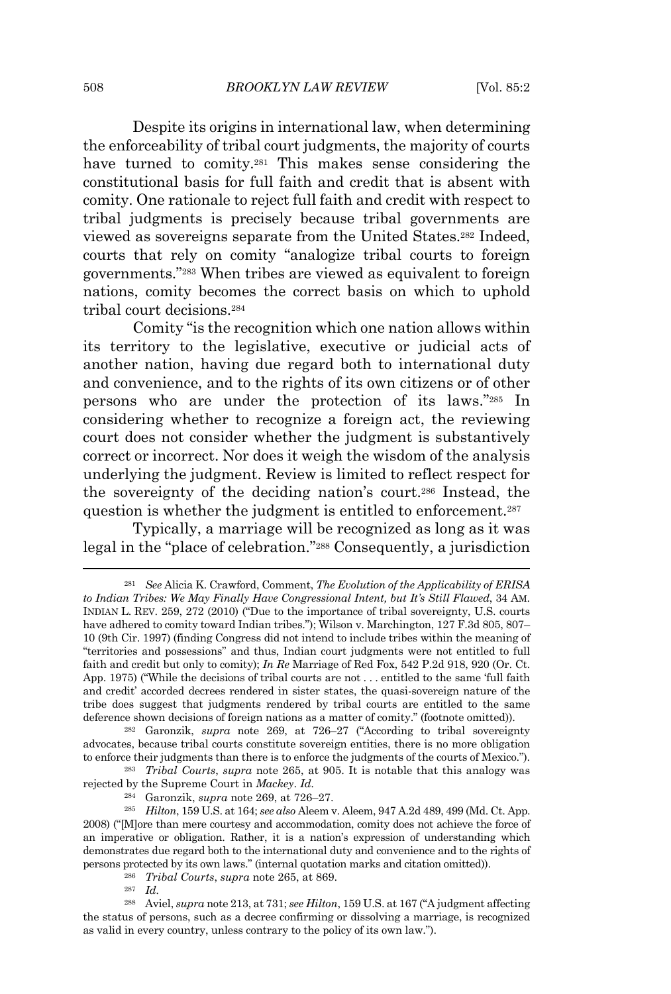Despite its origins in international law, when determining the enforceability of tribal court judgments, the majority of courts have turned to comity. <sup>281</sup> This makes sense considering the constitutional basis for full faith and credit that is absent with comity. One rationale to reject full faith and credit with respect to tribal judgments is precisely because tribal governments are viewed as sovereigns separate from the United States. <sup>282</sup> Indeed, courts that rely on comity "analogize tribal courts to foreign governments."<sup>283</sup> When tribes are viewed as equivalent to foreign nations, comity becomes the correct basis on which to uphold tribal court decisions.<sup>284</sup>

Comity "is the recognition which one nation allows within its territory to the legislative, executive or judicial acts of another nation, having due regard both to international duty and convenience, and to the rights of its own citizens or of other persons who are under the protection of its laws." <sup>285</sup> In considering whether to recognize a foreign act, the reviewing court does not consider whether the judgment is substantively correct or incorrect. Nor does it weigh the wisdom of the analysis underlying the judgment. Review is limited to reflect respect for the sovereignty of the deciding nation's court.<sup>286</sup> Instead, the question is whether the judgment is entitled to enforcement. 287

Typically, a marriage will be recognized as long as it was legal in the "place of celebration."<sup>288</sup> Consequently, a jurisdiction

<sup>282</sup> Garonzik, *supra* note 269, at 726–27 ("According to tribal sovereignty advocates, because tribal courts constitute sovereign entities, there is no more obligation to enforce their judgments than there is to enforce the judgments of the courts of Mexico.").

<sup>283</sup> *Tribal Courts*, *supra* note 265, at 905. It is notable that this analogy was rejected by the Supreme Court in *Mackey*. *Id.*

<sup>284</sup> Garonzik, *supra* note 269, at 726–27.

<sup>285</sup> *Hilton*, 159 U.S. at 164; *see also* Aleem v. Aleem, 947 A.2d 489, 499 (Md. Ct. App. 2008) ("[M]ore than mere courtesy and accommodation, comity does not achieve the force of an imperative or obligation. Rather, it is a nation's expression of understanding which demonstrates due regard both to the international duty and convenience and to the rights of persons protected by its own laws." (internal quotation marks and citation omitted)).

<sup>286</sup> *Tribal Courts*, *supra* note 265, at 869.

<sup>287</sup> *Id.*

<sup>288</sup> Aviel, *supra* note 213, at 731; *see Hilton*, 159 U.S. at 167 ("A judgment affecting the status of persons, such as a decree confirming or dissolving a marriage, is recognized as valid in every country, unless contrary to the policy of its own law.").

<sup>281</sup> *See* Alicia K. Crawford, Comment, *The Evolution of the Applicability of ERISA to Indian Tribes: We May Finally Have Congressional Intent, but It's Still Flawed*, 34 AM. INDIAN L. REV. 259, 272 (2010) ("Due to the importance of tribal sovereignty, U.S. courts have adhered to comity toward Indian tribes."); Wilson v. Marchington, 127 F.3d 805, 807– 10 (9th Cir. 1997) (finding Congress did not intend to include tribes within the meaning of "territories and possessions" and thus, Indian court judgments were not entitled to full faith and credit but only to comity); *In Re* Marriage of Red Fox, 542 P.2d 918, 920 (Or. Ct. App. 1975) ("While the decisions of tribal courts are not . . . entitled to the same 'full faith and credit' accorded decrees rendered in sister states, the quasi-sovereign nature of the tribe does suggest that judgments rendered by tribal courts are entitled to the same deference shown decisions of foreign nations as a matter of comity." (footnote omitted)).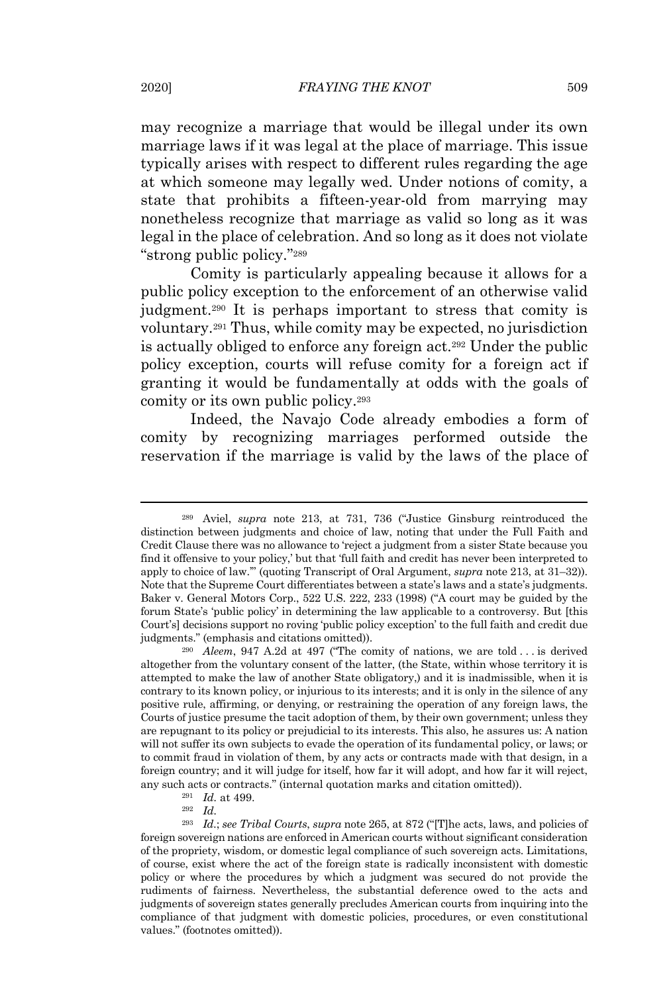may recognize a marriage that would be illegal under its own marriage laws if it was legal at the place of marriage. This issue typically arises with respect to different rules regarding the age at which someone may legally wed. Under notions of comity, a state that prohibits a fifteen-year-old from marrying may nonetheless recognize that marriage as valid so long as it was legal in the place of celebration. And so long as it does not violate "strong public policy."<sup>289</sup>

Comity is particularly appealing because it allows for a public policy exception to the enforcement of an otherwise valid judgment. <sup>290</sup> It is perhaps important to stress that comity is voluntary.<sup>291</sup> Thus, while comity may be expected, no jurisdiction is actually obliged to enforce any foreign act.<sup>292</sup> Under the public policy exception, courts will refuse comity for a foreign act if granting it would be fundamentally at odds with the goals of comity or its own public policy.<sup>293</sup>

Indeed, the Navajo Code already embodies a form of comity by recognizing marriages performed outside the reservation if the marriage is valid by the laws of the place of

<sup>289</sup> Aviel, *supra* note 213, at 731, 736 ("Justice Ginsburg reintroduced the distinction between judgments and choice of law, noting that under the Full Faith and Credit Clause there was no allowance to 'reject a judgment from a sister State because you find it offensive to your policy,' but that 'full faith and credit has never been interpreted to apply to choice of law.'" (quoting Transcript of Oral Argument, *supra* note 213, at 31–32)). Note that the Supreme Court differentiates between a state's laws and a state's judgments. Baker v. General Motors Corp., 522 U.S. 222, 233 (1998) ("A court may be guided by the forum State's 'public policy' in determining the law applicable to a controversy. But [this Court's] decisions support no roving 'public policy exception' to the full faith and credit due judgments." (emphasis and citations omitted)).

<sup>290</sup> *Aleem*, 947 A.2d at 497 ("The comity of nations, we are told . . . is derived altogether from the voluntary consent of the latter, (the State, within whose territory it is attempted to make the law of another State obligatory,) and it is inadmissible, when it is contrary to its known policy, or injurious to its interests; and it is only in the silence of any positive rule, affirming, or denying, or restraining the operation of any foreign laws, the Courts of justice presume the tacit adoption of them, by their own government; unless they are repugnant to its policy or prejudicial to its interests. This also, he assures us: A nation will not suffer its own subjects to evade the operation of its fundamental policy, or laws; or to commit fraud in violation of them, by any acts or contracts made with that design, in a foreign country; and it will judge for itself, how far it will adopt, and how far it will reject, any such acts or contracts." (internal quotation marks and citation omitted)).

<sup>291</sup> *Id.* at 499.

<sup>292</sup> *Id.*

<sup>293</sup> *Id.*; *see Tribal Courts*, *supra* note 265, at 872 ("[T]he acts, laws, and policies of foreign sovereign nations are enforced in American courts without significant consideration of the propriety, wisdom, or domestic legal compliance of such sovereign acts. Limitations, of course, exist where the act of the foreign state is radically inconsistent with domestic policy or where the procedures by which a judgment was secured do not provide the rudiments of fairness. Nevertheless, the substantial deference owed to the acts and judgments of sovereign states generally precludes American courts from inquiring into the compliance of that judgment with domestic policies, procedures, or even constitutional values." (footnotes omitted)).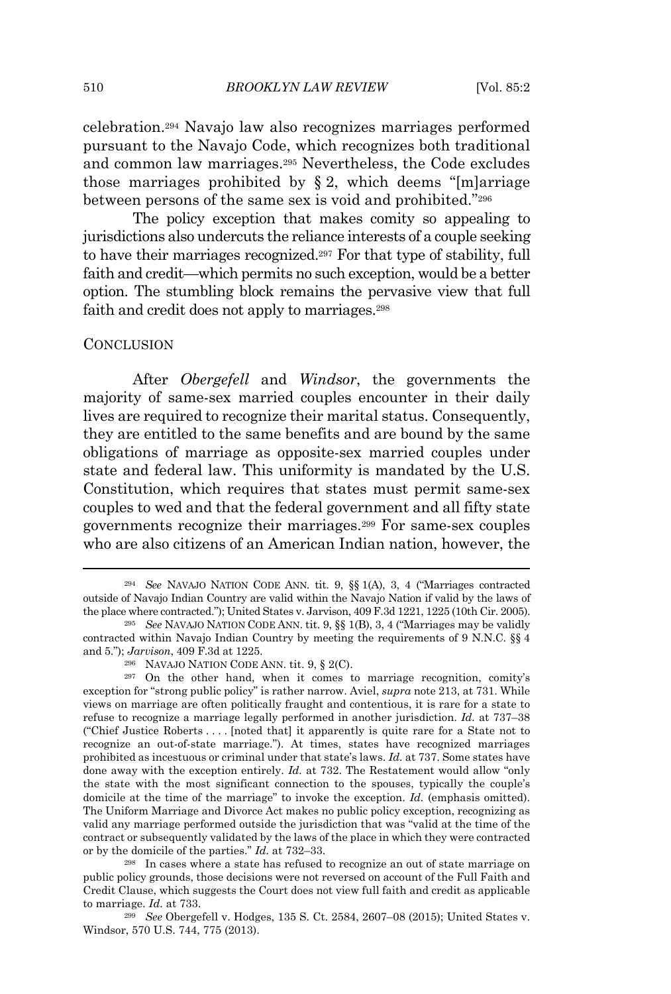celebration.<sup>294</sup> Navajo law also recognizes marriages performed pursuant to the Navajo Code, which recognizes both traditional and common law marriages.<sup>295</sup> Nevertheless, the Code excludes those marriages prohibited by  $\S 2$ , which deems "[m]arriage between persons of the same sex is void and prohibited." 296

The policy exception that makes comity so appealing to jurisdictions also undercuts the reliance interests of a couple seeking to have their marriages recognized. <sup>297</sup> For that type of stability, full faith and credit—which permits no such exception, would be a better option. The stumbling block remains the pervasive view that full faith and credit does not apply to marriages.<sup>298</sup>

#### **CONCLUSION**

After *Obergefell* and *Windsor*, the governments the majority of same-sex married couples encounter in their daily lives are required to recognize their marital status. Consequently, they are entitled to the same benefits and are bound by the same obligations of marriage as opposite-sex married couples under state and federal law. This uniformity is mandated by the U.S. Constitution, which requires that states must permit same-sex couples to wed and that the federal government and all fifty state governments recognize their marriages.<sup>299</sup> For same-sex couples who are also citizens of an American Indian nation, however, the

<sup>298</sup> In cases where a state has refused to recognize an out of state marriage on public policy grounds, those decisions were not reversed on account of the Full Faith and Credit Clause, which suggests the Court does not view full faith and credit as applicable to marriage. *Id.* at 733.

<sup>299</sup> *See* Obergefell v. Hodges, 135 S. Ct. 2584, 2607–08 (2015); United States v. Windsor, 570 U.S. 744, 775 (2013).

<sup>294</sup> *See* NAVAJO NATION CODE ANN. tit. 9, §§ 1(A), 3, 4 ("Marriages contracted outside of Navajo Indian Country are valid within the Navajo Nation if valid by the laws of the place where contracted."); United States v. Jarvison, 409 F.3d 1221, 1225 (10th Cir. 2005).

<sup>295</sup> *See* NAVAJO NATION CODE ANN. tit. 9, §§ 1(B), 3, 4 ("Marriages may be validly contracted within Navajo Indian Country by meeting the requirements of 9 N.N.C. §§ 4 and 5."); *Jarvison*, 409 F.3d at 1225.

<sup>296</sup> NAVAJO NATION CODE ANN. tit. 9, § 2(C).

<sup>297</sup> On the other hand, when it comes to marriage recognition, comity's exception for "strong public policy" is rather narrow. Aviel, *supra* note 213, at 731. While views on marriage are often politically fraught and contentious, it is rare for a state to refuse to recognize a marriage legally performed in another jurisdiction. *Id.* at 737–38 ("Chief Justice Roberts . . . . [noted that] it apparently is quite rare for a State not to recognize an out-of-state marriage."). At times, states have recognized marriages prohibited as incestuous or criminal under that state's laws. *Id.* at 737. Some states have done away with the exception entirely. *Id.* at 732. The Restatement would allow "only the state with the most significant connection to the spouses, typically the couple's domicile at the time of the marriage" to invoke the exception. *Id.* (emphasis omitted). The Uniform Marriage and Divorce Act makes no public policy exception, recognizing as valid any marriage performed outside the jurisdiction that was "valid at the time of the contract or subsequently validated by the laws of the place in which they were contracted or by the domicile of the parties." *Id.* at 732–33.